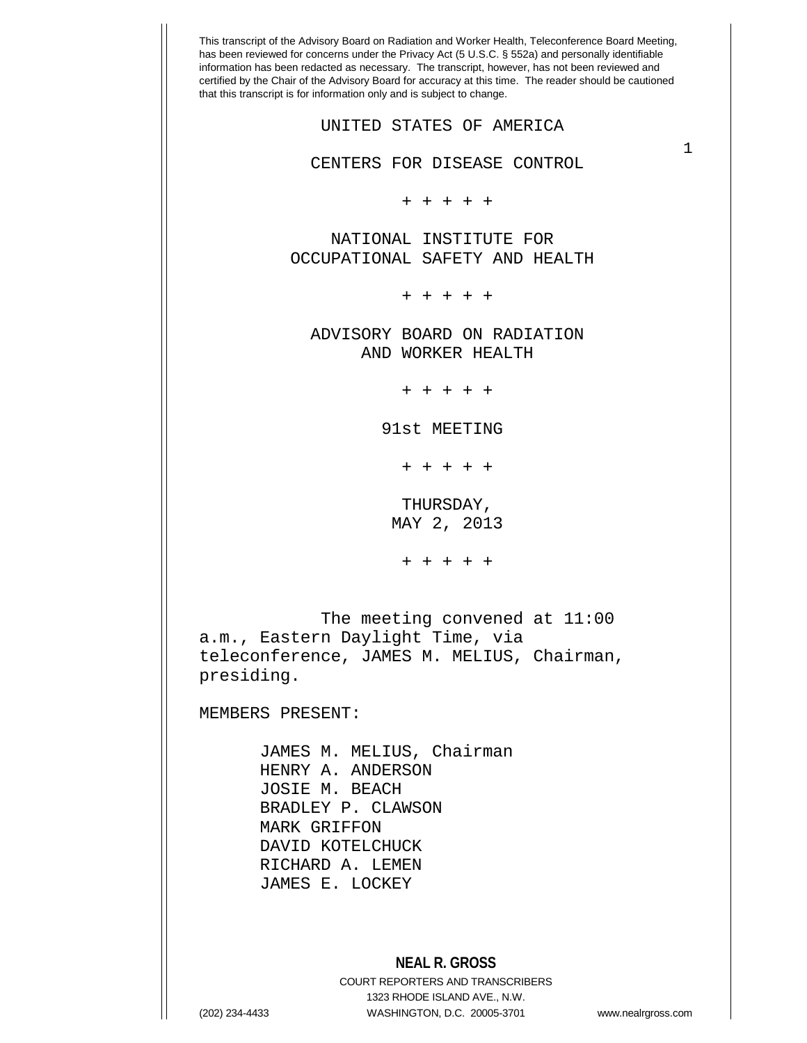| AND WORKER HEALTH<br>+ + + + +                                          |  |
|-------------------------------------------------------------------------|--|
| 91st MEETING                                                            |  |
| + + + + +                                                               |  |
| THURSDAY,                                                               |  |
| MAY 2, 2013                                                             |  |
| + + + + +                                                               |  |
|                                                                         |  |
| The meeting convened at $11:00$<br>a.m., Eastern Daylight Time, via     |  |
| teleconference, JAMES M. MELIUS, Chairman,<br>presiding.                |  |
|                                                                         |  |
| MEMBERS PRESENT:                                                        |  |
| JAMES M. MELIUS, Chairman                                               |  |
| HENRY A. ANDERSON                                                       |  |
| JOSIE M. BEACH<br>BRADLEY P. CLAWSON                                    |  |
| MARK GRIFFON                                                            |  |
| DAVID KOTELCHUCK                                                        |  |
| RICHARD A. LEMEN<br>JAMES E. LOCKEY                                     |  |
|                                                                         |  |
|                                                                         |  |
| <b>NEAL R. GROSS</b>                                                    |  |
| <b>COURT REPORTERS AND TRANSCRIBERS</b><br>1323 RHODE ISLAND AVE., N.W. |  |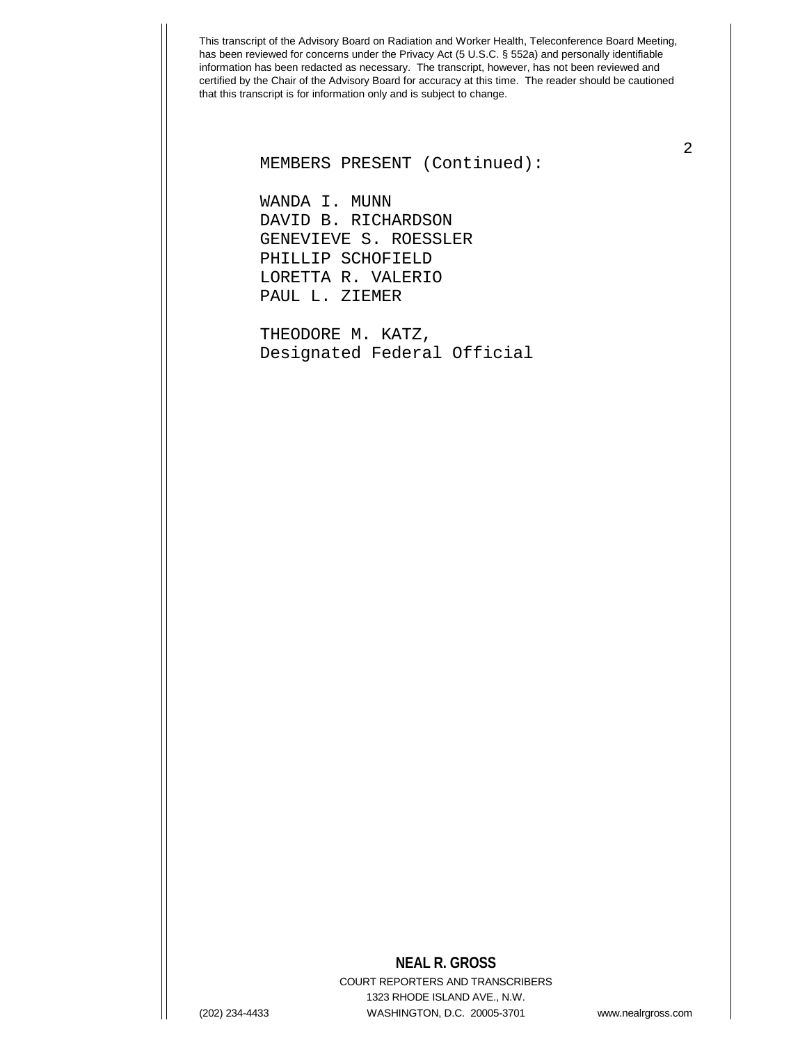# 2 MEMBERS PRESENT (Continued):

 WANDA I. MUNN DAVID B. RICHARDSON GENEVIEVE S. ROESSLER PHILLIP SCHOFIELD LORETTA R. VALERIO PAUL L. ZIEMER

 THEODORE M. KATZ, Designated Federal Official

#### **NEAL R. GROSS**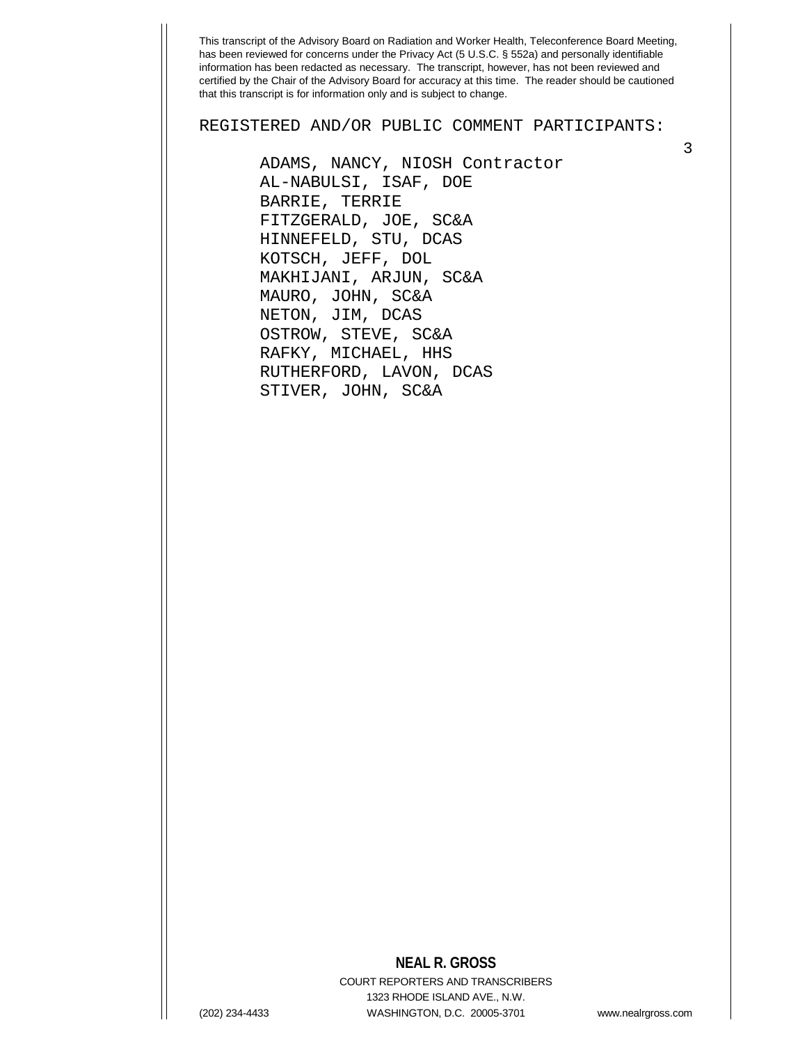REGISTERED AND/OR PUBLIC COMMENT PARTICIPANTS:

 ADAMS, NANCY, NIOSH Contractor AL-NABULSI, ISAF, DOE BARRIE, TERRIE FITZGERALD, JOE, SC&A HINNEFELD, STU, DCAS KOTSCH, JEFF, DOL MAKHIJANI, ARJUN, SC&A MAURO, JOHN, SC&A NETON, JIM, DCAS OSTROW, STEVE, SC&A RAFKY, MICHAEL, HHS RUTHERFORD, LAVON, DCAS STIVER, JOHN, SC&A

#### **NEAL R. GROSS**

COURT REPORTERS AND TRANSCRIBERS 1323 RHODE ISLAND AVE., N.W. (202) 234-4433 WASHINGTON, D.C. 20005-3701 www.nealrgross.com

3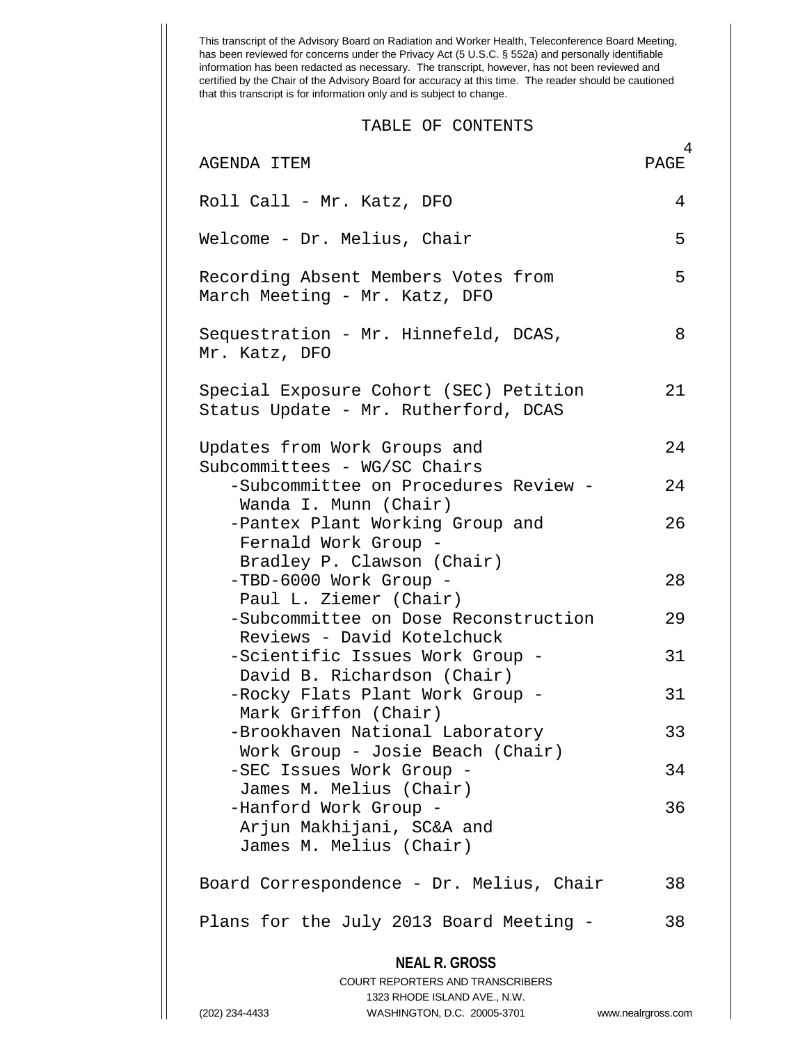This transcript of the Advisory Board on Radiation and Worker Health, Teleconference Board Meeting, has been reviewed for concerns under the Privacy Act (5 U.S.C. § 552a) and personally identifiable information has been redacted as necessary. The transcript, however, has not been reviewed and certified by the Chair of the Advisory Board for accuracy at this time. The reader should be cautioned that this transcript is for information only and is subject to change. **NEAL R. GROSS** COURT REPORTERS AND TRANSCRIBERS 1323 RHODE ISLAND AVE., N.W. (202) 234-4433 WASHINGTON, D.C. 20005-3701 www.nealrgross.com  $4$ <br>PAGE TABLE OF CONTENTS AGENDA ITEM Roll Call - Mr. Katz, DFO 4 Welcome - Dr. Melius, Chair 5 Recording Absent Members Votes from 5 March Meeting - Mr. Katz, DFO Sequestration - Mr. Hinnefeld, DCAS, 8 Mr. Katz, DFO Special Exposure Cohort (SEC) Petition 21 Status Update - Mr. Rutherford, DCAS Updates from Work Groups and 24 Subcommittees - WG/SC Chairs -Subcommittee on Procedures Review - 24 Wanda I. Munn (Chair) -Pantex Plant Working Group and 26 Fernald Work Group - Bradley P. Clawson (Chair) -TBD-6000 Work Group - 28 Paul L. Ziemer (Chair) -Subcommittee on Dose Reconstruction 29 Reviews - David Kotelchuck -Scientific Issues Work Group - 31 David B. Richardson (Chair) -Rocky Flats Plant Work Group - 31 Mark Griffon (Chair) -Brookhaven National Laboratory 33 Work Group - Josie Beach (Chair) -SEC Issues Work Group - 34 James M. Melius (Chair) -Hanford Work Group - 36 Arjun Makhijani, SC&A and James M. Melius (Chair) Board Correspondence - Dr. Melius, Chair 38 Plans for the July 2013 Board Meeting - 38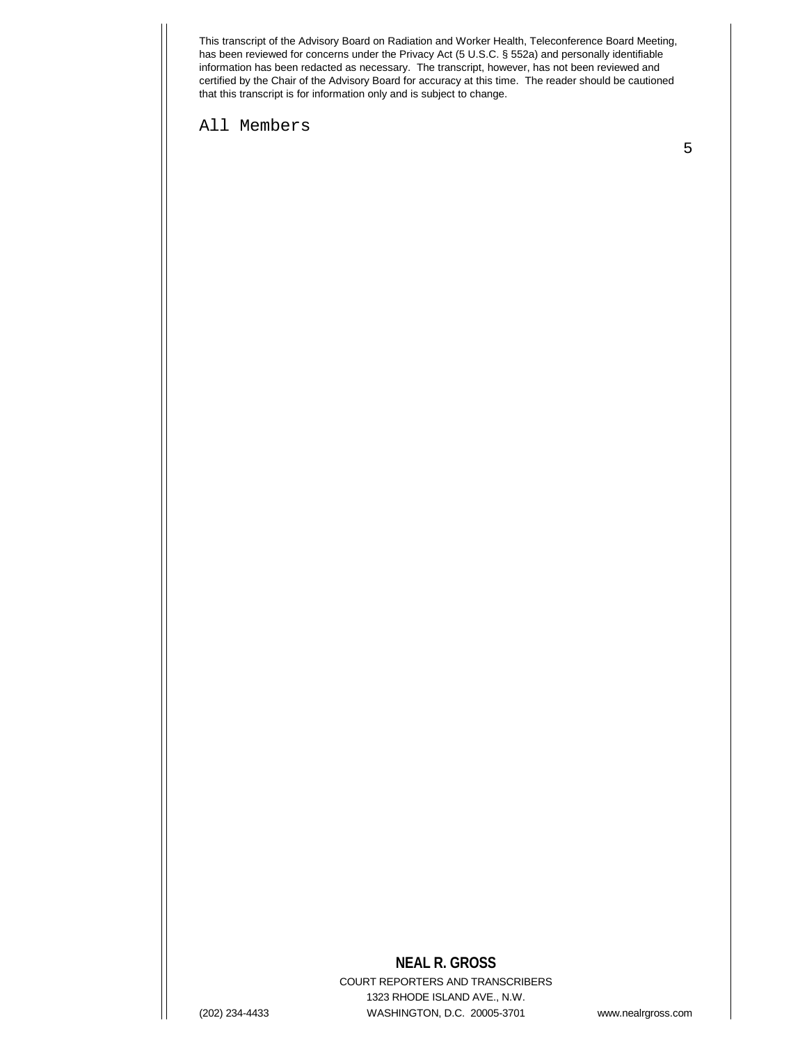All Members

5

## **NEAL R. GROSS**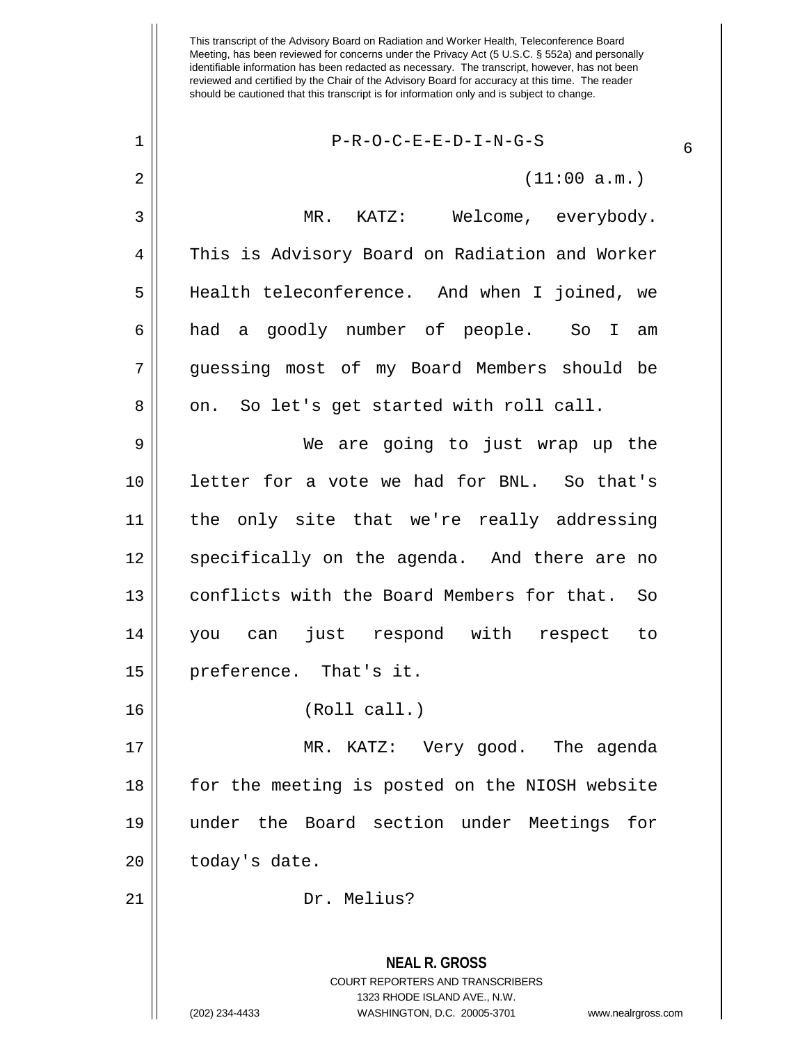### $1 \parallel$  P-R-O-C-E-E-D-I-N-G-S

 $2 \parallel$  (11:00 a.m.)

**NEAL R. GROSS** 3 || MR. KATZ: Welcome, everybody. 4 This is Advisory Board on Radiation and Worker Health teleconference. And when I joined, we had a goodly number of people. So I am guessing most of my Board Members should be 8 || on. So let's get started with roll call. We are going to just wrap up the letter for a vote we had for BNL. So that's the only site that we're really addressing 12 || specifically on the agenda. And there are no 13 || conflicts with the Board Members for that. So you can just respond with respect to preference. That's it. (Roll call.) MR. KATZ: Very good. The agenda for the meeting is posted on the NIOSH website under the Board section under Meetings for | today's date. Dr. Melius?

> COURT REPORTERS AND TRANSCRIBERS 1323 RHODE ISLAND AVE., N.W.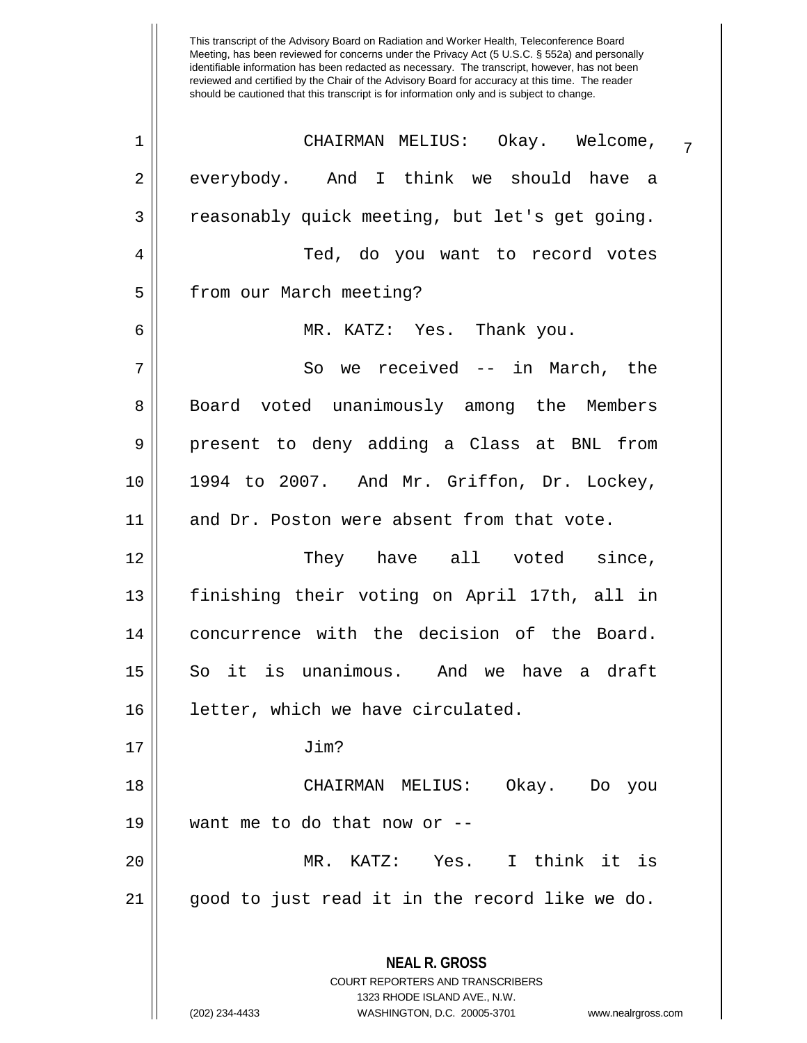| 1              | CHAIRMAN MELIUS: Okay. Welcome,<br>$\overline{7}$                                                                                                                      |
|----------------|------------------------------------------------------------------------------------------------------------------------------------------------------------------------|
| $\overline{a}$ | everybody. And I think we should have a                                                                                                                                |
| 3              | reasonably quick meeting, but let's get going.                                                                                                                         |
| $\overline{4}$ | Ted, do you want to record votes                                                                                                                                       |
| 5              | from our March meeting?                                                                                                                                                |
| 6              | MR. KATZ: Yes. Thank you.                                                                                                                                              |
| 7              | So we received -- in March, the                                                                                                                                        |
| 8              | Board voted unanimously among the Members                                                                                                                              |
| $\mathsf 9$    | present to deny adding a Class at BNL from                                                                                                                             |
| 10             | 1994 to 2007. And Mr. Griffon, Dr. Lockey,                                                                                                                             |
| 11             | and Dr. Poston were absent from that vote.                                                                                                                             |
| 12             | They have all voted since,                                                                                                                                             |
| 13             | finishing their voting on April 17th, all in                                                                                                                           |
| 14             | concurrence with the decision of the Board.                                                                                                                            |
| 15             | So it is unanimous. And we have a draft                                                                                                                                |
| 16             | letter, which we have circulated.                                                                                                                                      |
| 17             | Jim?                                                                                                                                                                   |
| 18             | CHAIRMAN MELIUS:<br>Okay. Do<br>you                                                                                                                                    |
| 19             | want me to do that now or --                                                                                                                                           |
| 20             | KATZ: Yes. I think it is<br>MR.                                                                                                                                        |
| 21             | good to just read it in the record like we do.                                                                                                                         |
|                | <b>NEAL R. GROSS</b><br><b>COURT REPORTERS AND TRANSCRIBERS</b><br>1323 RHODE ISLAND AVE., N.W.<br>(202) 234-4433<br>WASHINGTON, D.C. 20005-3701<br>www.nealrgross.com |
|                |                                                                                                                                                                        |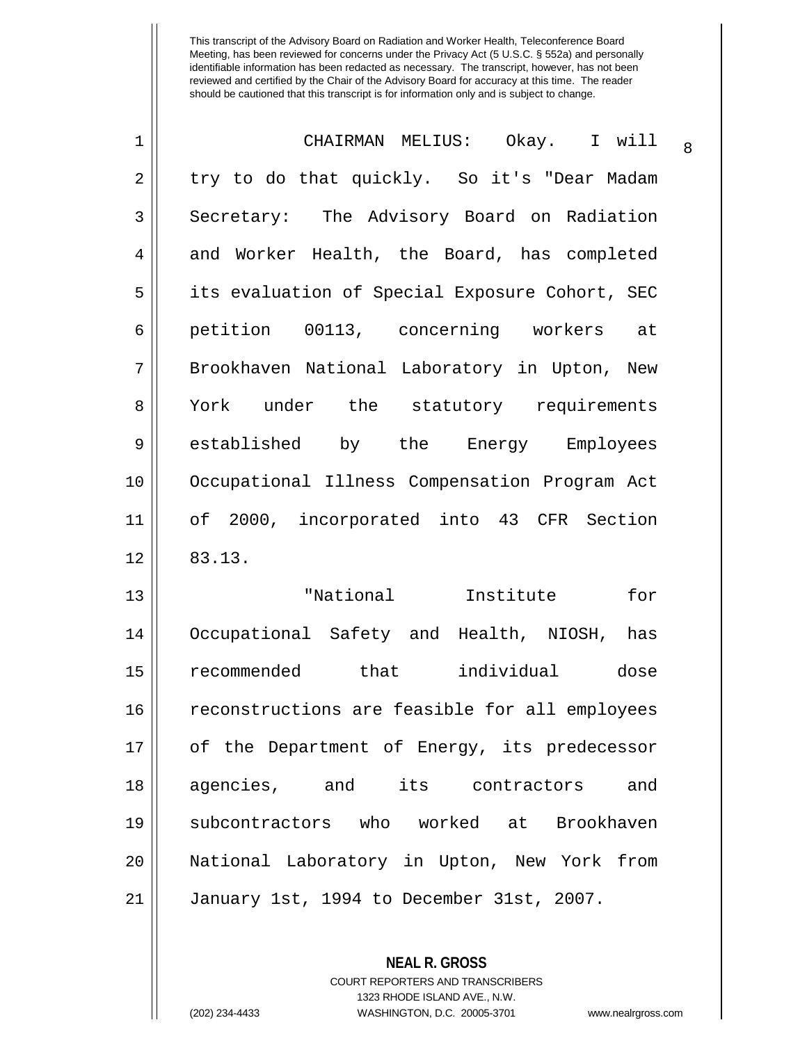| 1              | CHAIRMAN MELIUS: Okay. I will<br>8             |
|----------------|------------------------------------------------|
| $\overline{2}$ | try to do that quickly. So it's "Dear Madam    |
| 3              | Secretary: The Advisory Board on Radiation     |
| $\overline{4}$ | and Worker Health, the Board, has completed    |
| 5              | its evaluation of Special Exposure Cohort, SEC |
| $\overline{6}$ | petition 00113, concerning workers<br>at       |
| 7              | Brookhaven National Laboratory in Upton, New   |
| 8              | York under the statutory requirements          |
| 9              | established<br>by the Energy Employees         |
| 10             | Occupational Illness Compensation Program Act  |
| 11             | of 2000, incorporated into 43 CFR Section      |
| 12             | 83.13.                                         |
| 13             | "National Institute<br>for                     |
| 14             | Occupational Safety and Health, NIOSH,<br>has  |
| 15             | recommended that individual<br>dose            |
| 16             | reconstructions are feasible for all employees |
| 17             | of the Department of Energy, its predecessor   |
| 18             | agencies, and its contractors and              |
| 19             | subcontractors who worked at Brookhaven        |
| 20             | National Laboratory in Upton, New York from    |
| 21             | January 1st, 1994 to December 31st, 2007.      |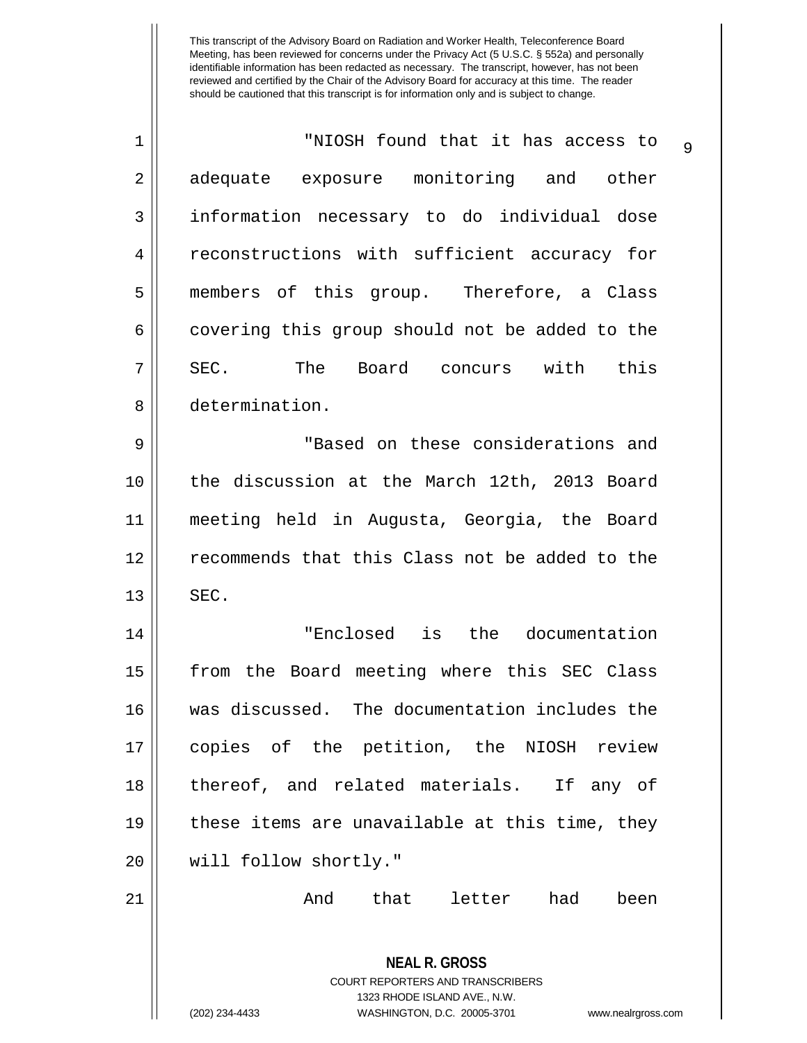| 1  | "NIOSH found that it has access to<br>$\mathsf{Q}$                                                                                                                     |
|----|------------------------------------------------------------------------------------------------------------------------------------------------------------------------|
| 2  | adequate exposure monitoring and other                                                                                                                                 |
| 3  | information necessary to do individual dose                                                                                                                            |
| 4  | reconstructions with sufficient accuracy for                                                                                                                           |
| 5  | members of this group. Therefore, a Class                                                                                                                              |
| 6  | covering this group should not be added to the                                                                                                                         |
| 7  | SEC.<br>The Board concurs with this                                                                                                                                    |
| 8  | determination.                                                                                                                                                         |
| 9  | "Based on these considerations and                                                                                                                                     |
| 10 | the discussion at the March 12th, 2013 Board                                                                                                                           |
| 11 | meeting held in Augusta, Georgia, the Board                                                                                                                            |
| 12 | recommends that this Class not be added to the                                                                                                                         |
| 13 | SEC.                                                                                                                                                                   |
| 14 | "Enclosed is the documentation                                                                                                                                         |
| 15 | from the Board meeting where this SEC Class                                                                                                                            |
| 16 | was discussed. The documentation includes the                                                                                                                          |
| 17 | copies of the petition, the NIOSH review                                                                                                                               |
| 18 | thereof, and related materials. If any of                                                                                                                              |
| 19 | these items are unavailable at this time, they                                                                                                                         |
| 20 | will follow shortly."                                                                                                                                                  |
| 21 | that<br>letter had<br>And<br>been                                                                                                                                      |
|    | <b>NEAL R. GROSS</b><br><b>COURT REPORTERS AND TRANSCRIBERS</b><br>1323 RHODE ISLAND AVE., N.W.<br>(202) 234-4433<br>WASHINGTON, D.C. 20005-3701<br>www.nealrgross.com |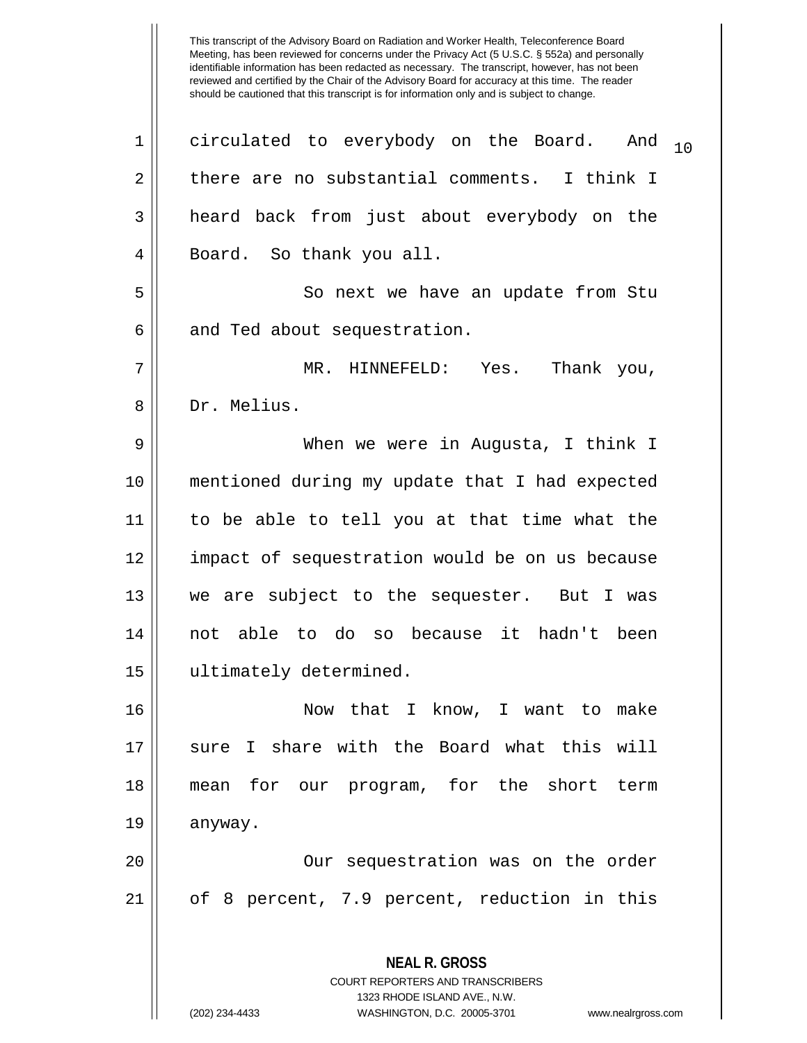**NEAL R. GROSS** COURT REPORTERS AND TRANSCRIBERS 1323 RHODE ISLAND AVE., N.W. 1  $\parallel$  circulated to everybody on the Board. And  $_{10}$  $2 \parallel$  there are no substantial comments. I think I 3 || heard back from just about everybody on the 4 || Board. So thank you all. 5 || So next we have an update from Stu  $6 \parallel$  and Ted about sequestration. 7 MR. HINNEFELD: Yes. Thank you, 8 || Dr. Melius. 9 When we were in Augusta, I think I 10 mentioned during my update that I had expected 11 to be able to tell you at that time what the 12 || impact of sequestration would be on us because 13 we are subject to the sequester. But I was 14 not able to do so because it hadn't been 15 ultimately determined. 16 Now that I know, I want to make 17 || sure I share with the Board what this will 18 mean for our program, for the short term 19 anyway. 20 || Our sequestration was on the order 21 of 8 percent, 7.9 percent, reduction in this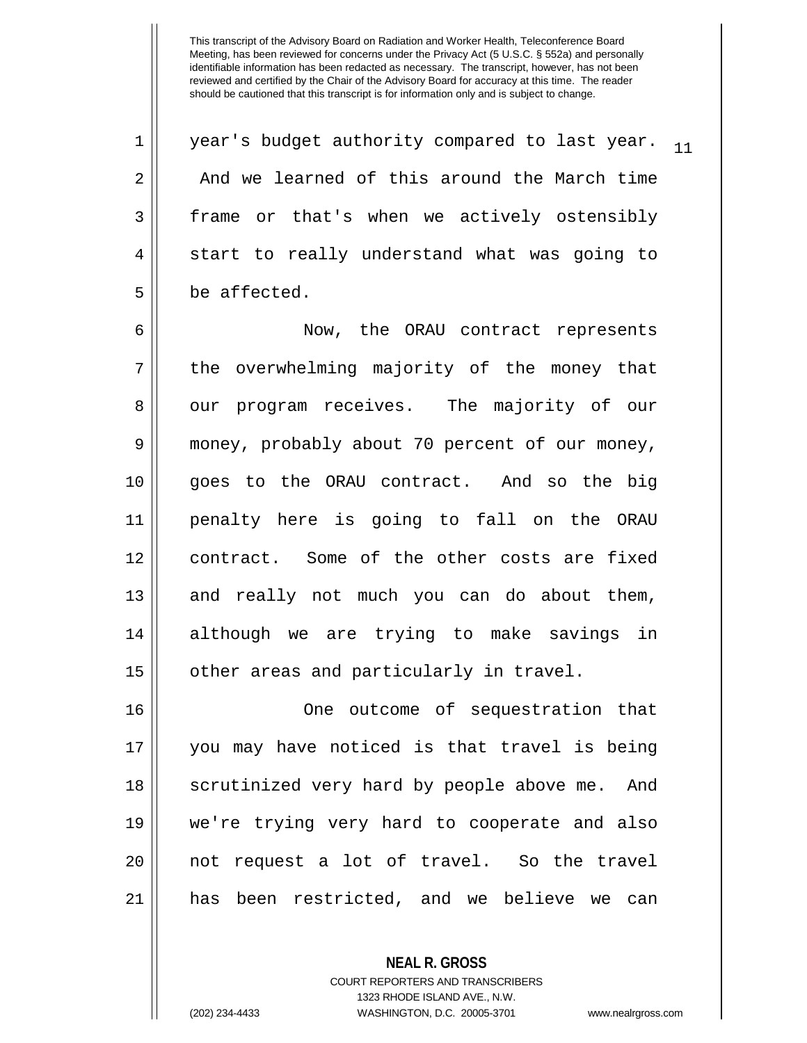$1 \parallel$  year's budget authority compared to last year.  $1 \parallel$ 2 and we learned of this around the March time 3 || frame or that's when we actively ostensibly  $4 \parallel$  start to really understand what was going to 5 be affected. 6 Now, the ORAU contract represents  $7 \parallel$  the overwhelming majority of the money that 8 || our program receives. The majority of our 9 money, probably about 70 percent of our money, 10 goes to the ORAU contract. And so the big 11 penalty here is going to fall on the ORAU 12 || contract. Some of the other costs are fixed 13 || and really not much you can do about them, 14 although we are trying to make savings in

15 | other areas and particularly in travel.

16 || One outcome of sequestration that you may have noticed is that travel is being 18 || scrutinized very hard by people above me. And we're trying very hard to cooperate and also not request a lot of travel. So the travel has been restricted, and we believe we can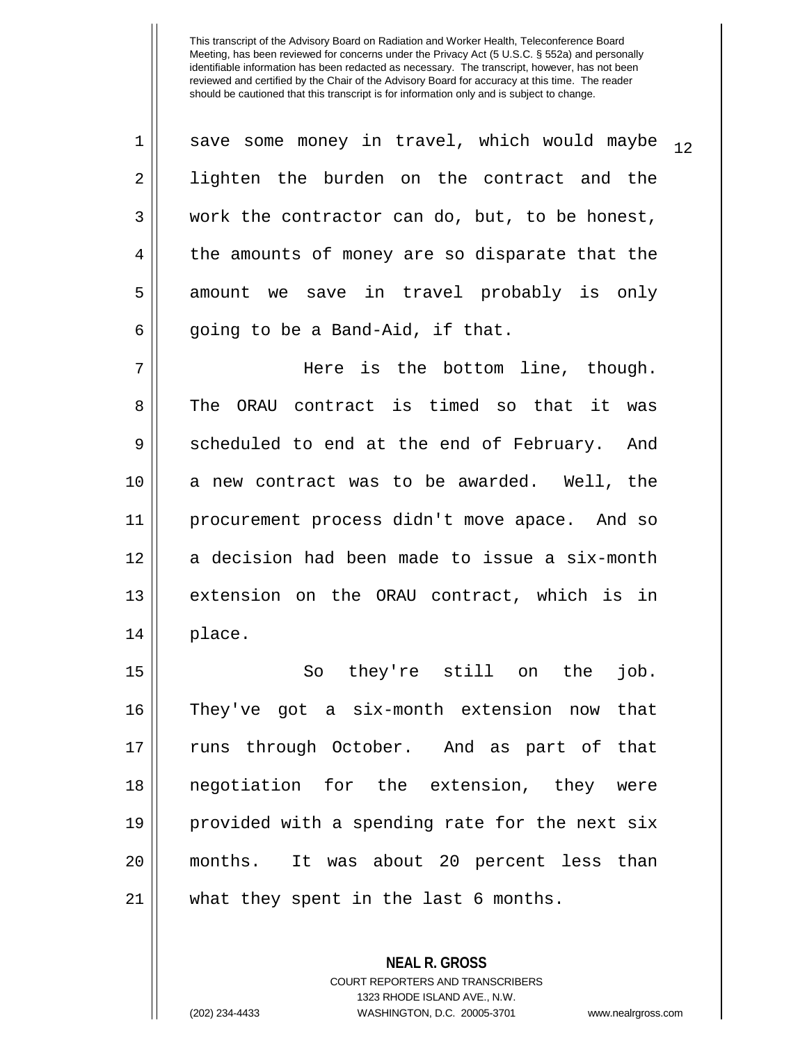| $\mathbf 1$ | save some money in travel, which would maybe<br>12 |
|-------------|----------------------------------------------------|
| 2           | lighten the burden on the contract and the         |
| 3           | work the contractor can do, but, to be honest,     |
| 4           | the amounts of money are so disparate that the     |
| 5           | amount we save in travel probably is only          |
| 6           | going to be a Band-Aid, if that.                   |
| 7           | Here is the bottom line, though.                   |
| 8           | ORAU contract is timed so that it was<br>The       |
| 9           | scheduled to end at the end of February. And       |
| 10          | a new contract was to be awarded. Well, the        |
| 11          | procurement process didn't move apace. And so      |
| 12          | a decision had been made to issue a six-month      |
| 13          | extension on the ORAU contract, which is in        |
| 14          | place.                                             |
| 15          | they're still on the<br>So<br>job.                 |
| 16          | They've got a six-month extension now that         |
| 17          | runs through October. And as part of that          |
| 18          | negotiation for the extension, they were           |
| 19          | provided with a spending rate for the next six     |
| 20          | months. It was about 20 percent less than          |
| 21          | what they spent in the last 6 months.              |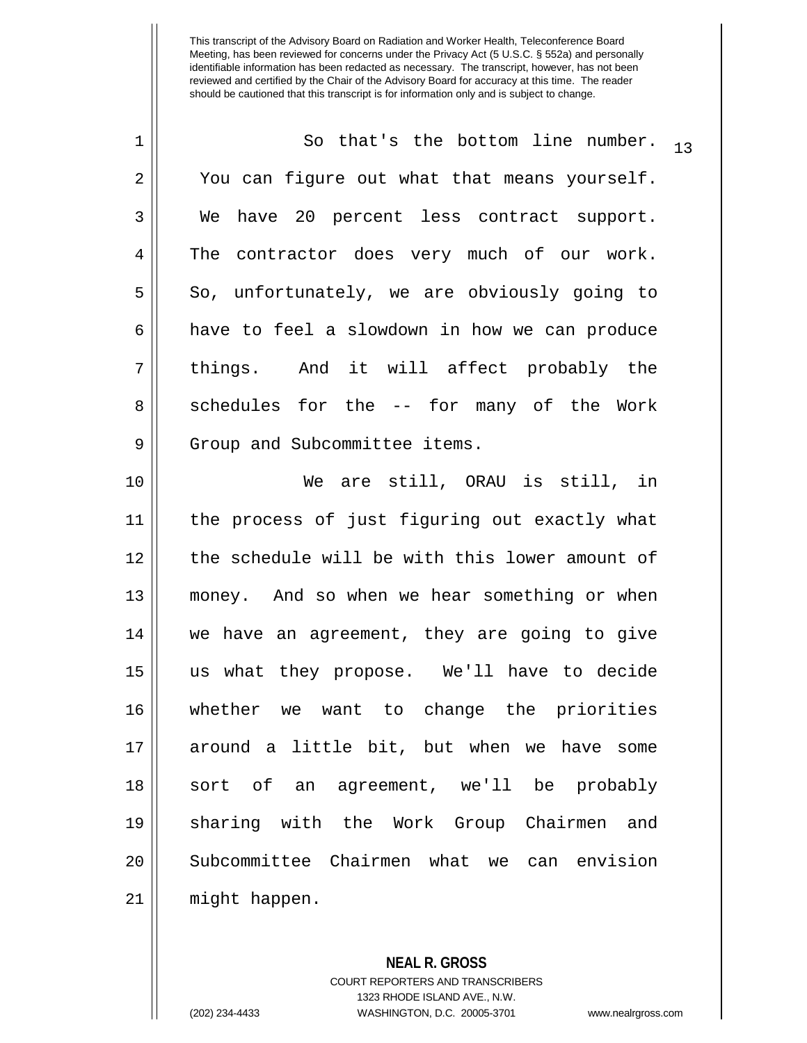| 1  | So that's the bottom line number.<br>13        |
|----|------------------------------------------------|
| 2  | You can figure out what that means yourself.   |
| 3  | have 20 percent less contract support.<br>We   |
| 4  | The contractor does very much of our work.     |
| 5  | So, unfortunately, we are obviously going to   |
| 6  | have to feel a slowdown in how we can produce  |
| 7  | things. And it will affect probably the        |
| 8  | schedules for the -- for many of the Work      |
| 9  | Group and Subcommittee items.                  |
| 10 | We are still, ORAU is still, in                |
| 11 | the process of just figuring out exactly what  |
| 12 | the schedule will be with this lower amount of |
| 13 | money. And so when we hear something or when   |
| 14 | we have an agreement, they are going to give   |
| 15 | us what they propose. We'll have to decide     |
| 16 | whether we want to change the priorities       |
| 17 | around a little bit, but when we have some     |
| 18 | sort of an agreement, we'll be probably        |
| 19 | sharing with the Work Group Chairmen and       |
| 20 | Subcommittee Chairmen what we can envision     |
| 21 | might happen.                                  |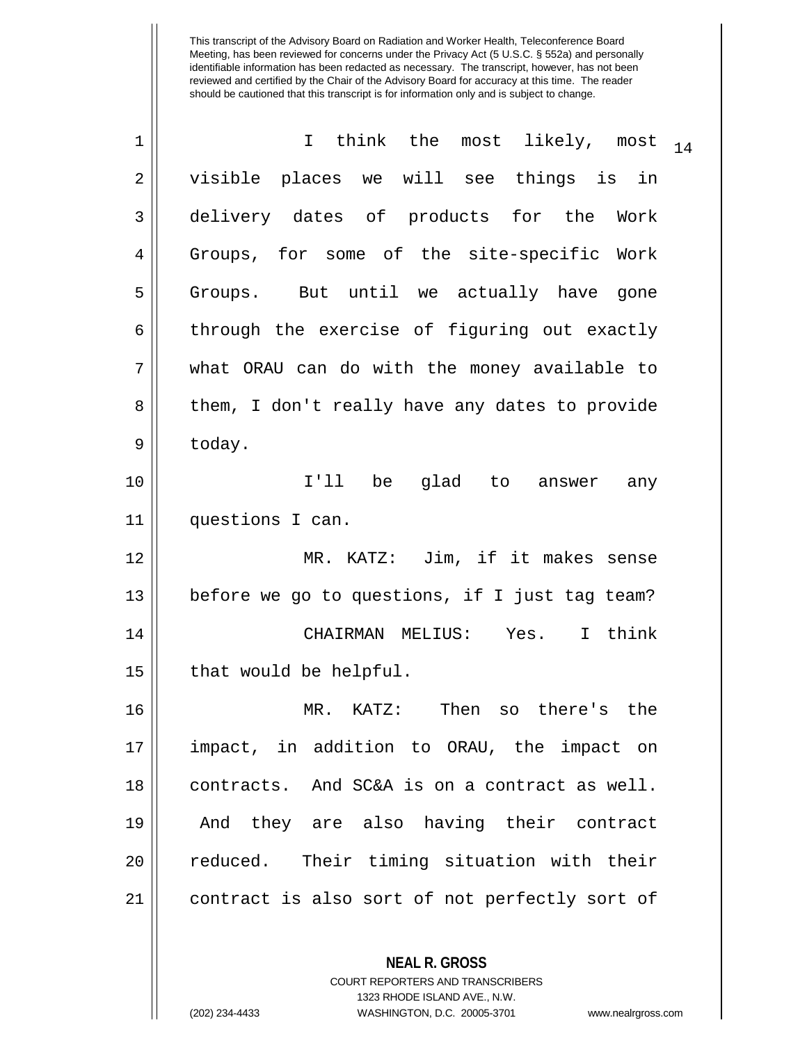| 1           | I think the most likely, most<br>14            |
|-------------|------------------------------------------------|
| 2           | visible places we will see things is in        |
| 3           | delivery dates of products for the Work        |
| 4           | Groups, for some of the site-specific Work     |
| 5           | Groups. But until we actually have gone        |
| 6           | through the exercise of figuring out exactly   |
| 7           | what ORAU can do with the money available to   |
| 8           | them, I don't really have any dates to provide |
| $\mathsf 9$ | today.                                         |
| 10          | I'll be glad to answer any                     |
| 11          | questions I can.                               |
| 12          | MR. KATZ: Jim, if it makes sense               |
| 13          | before we go to questions, if I just tag team? |
| 14          | CHAIRMAN MELIUS: Yes. I think                  |
| 15          | that would be helpful.                         |
| 16          | Then<br>MR.<br>KATZ:<br>so there's the         |
| 17          | impact, in addition to ORAU, the impact on     |
| 18          | contracts. And SC&A is on a contract as well.  |
| 19          | And they are also having their contract        |
| 20          | reduced. Their timing situation with their     |
| 21          | contract is also sort of not perfectly sort of |
|             |                                                |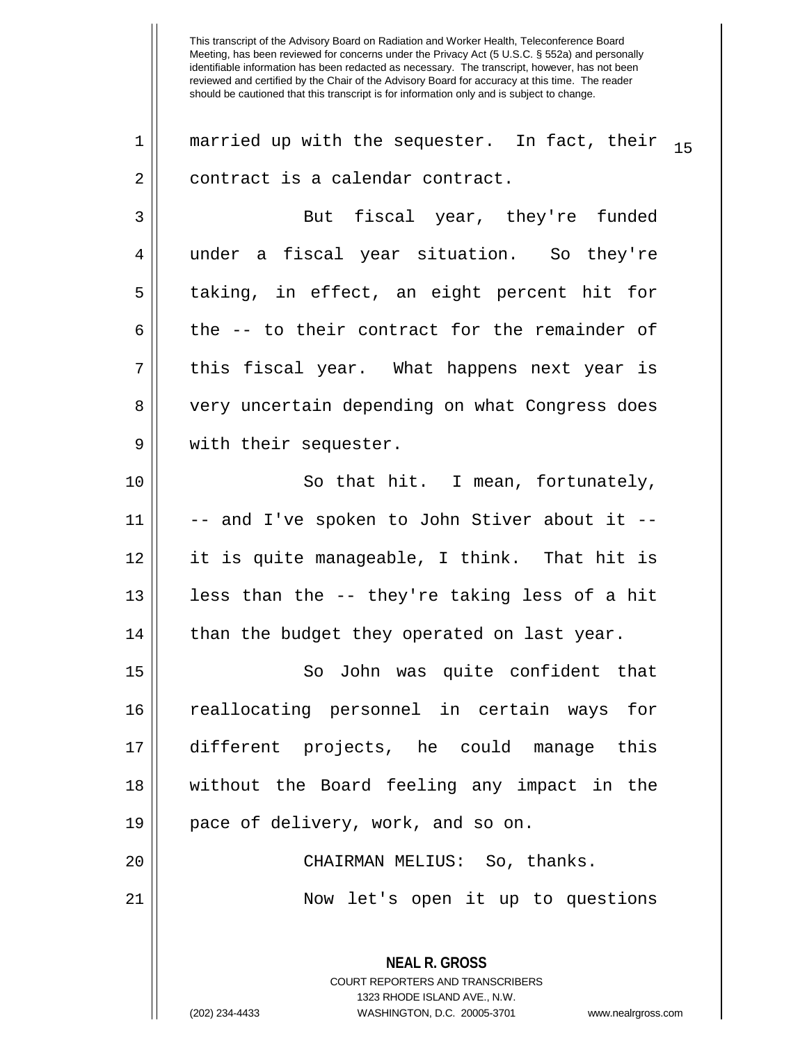**NEAL R. GROSS** 1 || married up with the sequester. In fact, their  $\frac{1}{15}$ 2 | contract is a calendar contract. 3 But fiscal year, they're funded 4 under a fiscal year situation. So they're 5 taking, in effect, an eight percent hit for 6 the  $-$  to their contract for the remainder of  $7 \parallel$  this fiscal year. What happens next year is 8 || very uncertain depending on what Congress does 9 || with their sequester. 10 || So that hit. I mean, fortunately,  $11$   $\parallel$  -- and I've spoken to John Stiver about it --12 it is quite manageable, I think. That hit is 13  $\parallel$  less than the -- they're taking less of a hit  $14$  | than the budget they operated on last year. 15 So John was quite confident that 16 reallocating personnel in certain ways for 17 different projects, he could manage this 18 without the Board feeling any impact in the 19 || pace of delivery, work, and so on. 20 || CHAIRMAN MELIUS: So, thanks. 21 Now let's open it up to questions

> COURT REPORTERS AND TRANSCRIBERS 1323 RHODE ISLAND AVE., N.W.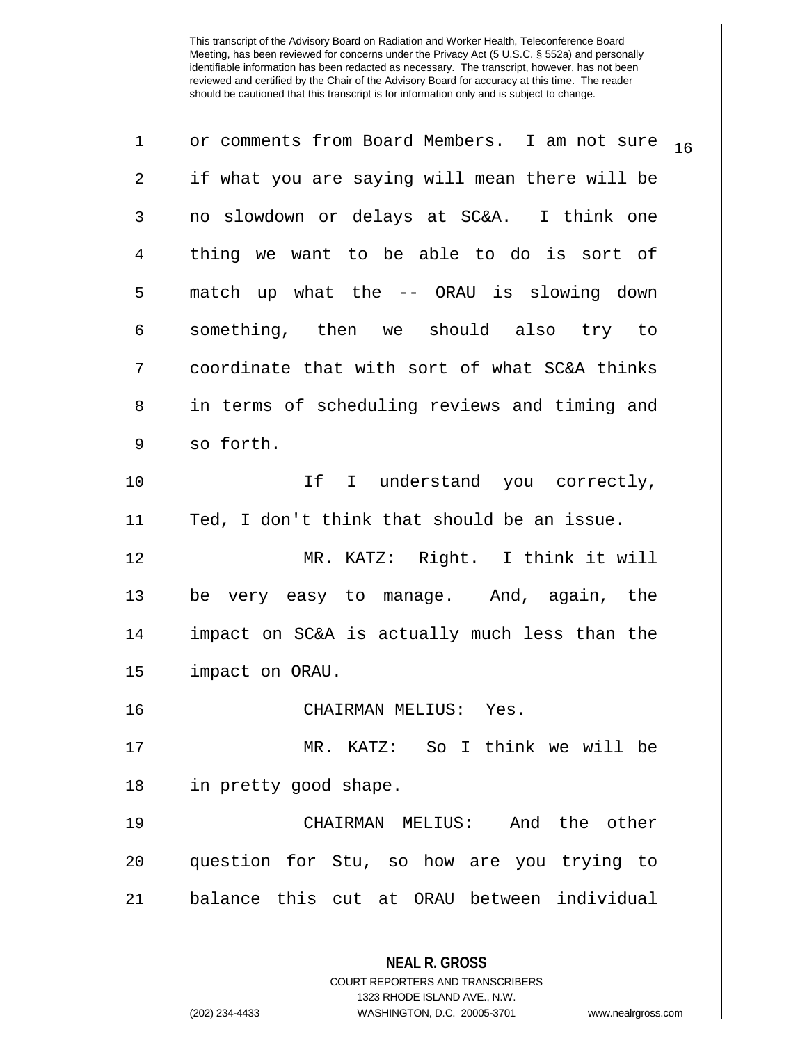| $\mathbf 1$ | or comments from Board Members. I am not sure<br>16             |
|-------------|-----------------------------------------------------------------|
| 2           | if what you are saying will mean there will be                  |
| 3           | no slowdown or delays at SC&A. I think one                      |
| 4           | thing we want to be able to do is sort of                       |
| 5           | match up what the -- ORAU is slowing down                       |
| 6           | something, then we should also try to                           |
| 7           | coordinate that with sort of what SC&A thinks                   |
| 8           | in terms of scheduling reviews and timing and                   |
| 9           | so forth.                                                       |
| 10          | If I understand you correctly,                                  |
| 11          | Ted, I don't think that should be an issue.                     |
| 12          | MR. KATZ: Right. I think it will                                |
| 13          | be very easy to manage. And, again, the                         |
| 14          | impact on SC&A is actually much less than the                   |
| 15          | impact on ORAU.                                                 |
| 16          | CHAIRMAN MELIUS: Yes.                                           |
| 17          | MR. KATZ: So I think we will be                                 |
| 18          | in pretty good shape.                                           |
| 19          | CHAIRMAN MELIUS: And the other                                  |
| 20          | question for Stu, so how are you trying to                      |
| 21          | balance this cut at ORAU between individual                     |
|             |                                                                 |
|             | <b>NEAL R. GROSS</b><br><b>COURT REPORTERS AND TRANSCRIBERS</b> |

1323 RHODE ISLAND AVE., N.W.

 $\mathop{\text{||}}$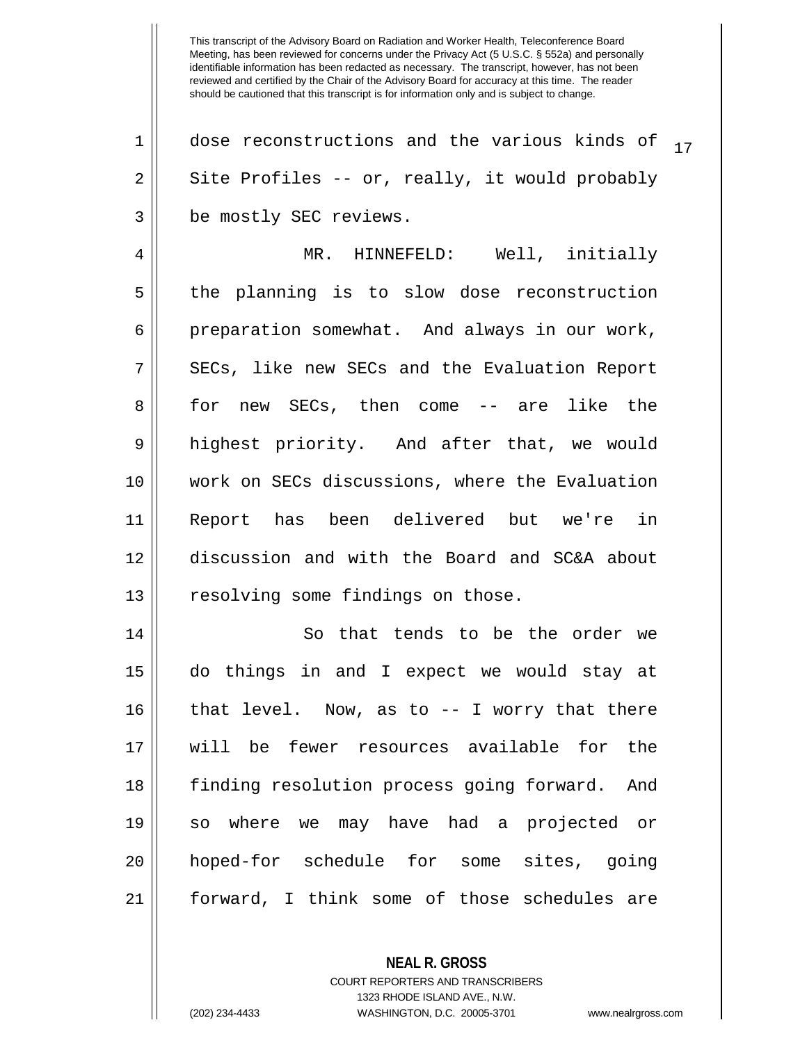$1$  | dose reconstructions and the various kinds of  $17$  $2 \parallel$  Site Profiles -- or, really, it would probably 3 | be mostly SEC reviews. 4 MR. HINNEFELD: Well, initially 5 the planning is to slow dose reconstruction 6 preparation somewhat. And always in our work, 7 || SECs, like new SECs and the Evaluation Report 8 || for new SECs, then come -- are like the 9 highest priority. And after that, we would 10 work on SECs discussions, where the Evaluation 11 Report has been delivered but we're in 12 discussion and with the Board and SC&A about 13 || resolving some findings on those. 14 || So that tends to be the order we 15 do things in and I expect we would stay at 16 || that level. Now, as to -- I worry that there 17 will be fewer resources available for the 18 finding resolution process going forward. And 19 so where we may have had a projected or 20 hoped-for schedule for some sites, going 21 || forward, I think some of those schedules are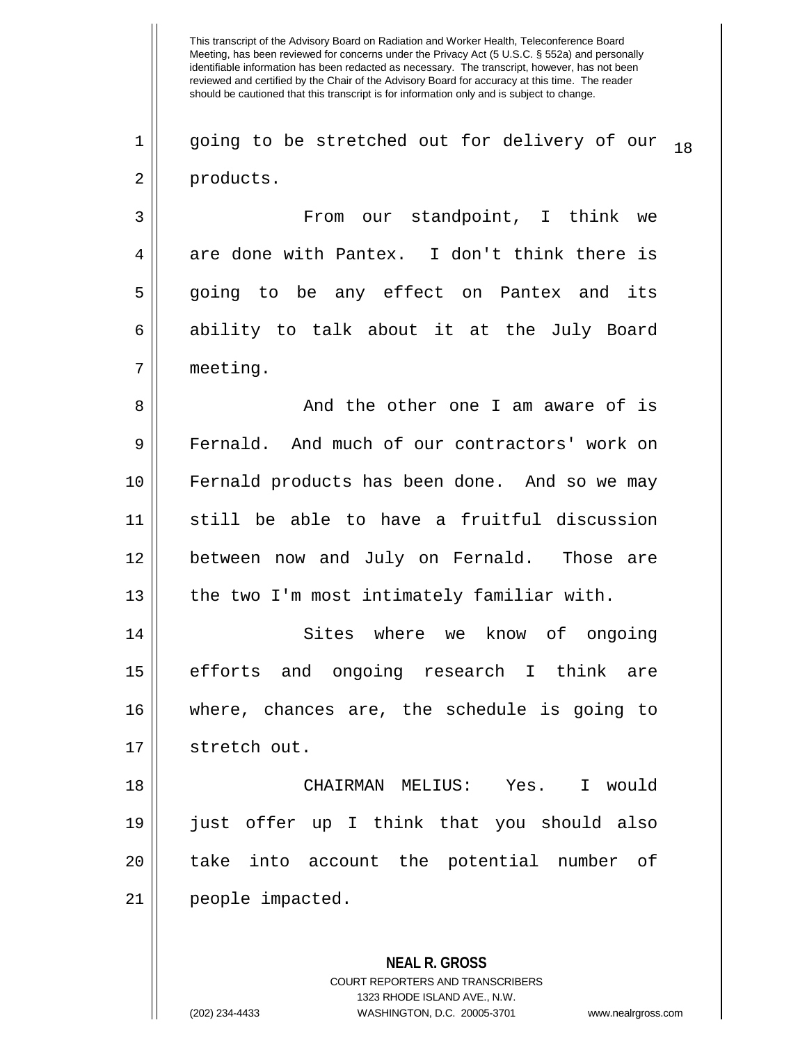This transcript of the Advisory Board on Radiation and Worker Health, Teleconference Board Meeting, has been reviewed for concerns under the Privacy Act (5 U.S.C. § 552a) and personally identifiable information has been redacted as necessary. The transcript, however, has not been reviewed and certified by the Chair of the Advisory Board for accuracy at this time. The reader should be cautioned that this transcript is for information only and is subject to change. **NEAL R. GROSS**  $1 \parallel$  going to be stretched out for delivery of our  $_{18}$ 2 | products. 3 From our standpoint, I think we  $4 \parallel$  are done with Pantex. I don't think there is 5 || going to be any effect on Pantex and its 6 ability to talk about it at the July Board 7 meeting. 8 And the other one I am aware of is 9 Fernald. And much of our contractors' work on 10 Fernald products has been done. And so we may 11 still be able to have a fruitful discussion 12 between now and July on Fernald. Those are 13 || the two I'm most intimately familiar with. 14 Sites where we know of ongoing 15 efforts and ongoing research I think are 16 where, chances are, the schedule is going to 17 || stretch out. 18 CHAIRMAN MELIUS: Yes. I would 19 just offer up I think that you should also 20 || take into account the potential number of 21 || people impacted.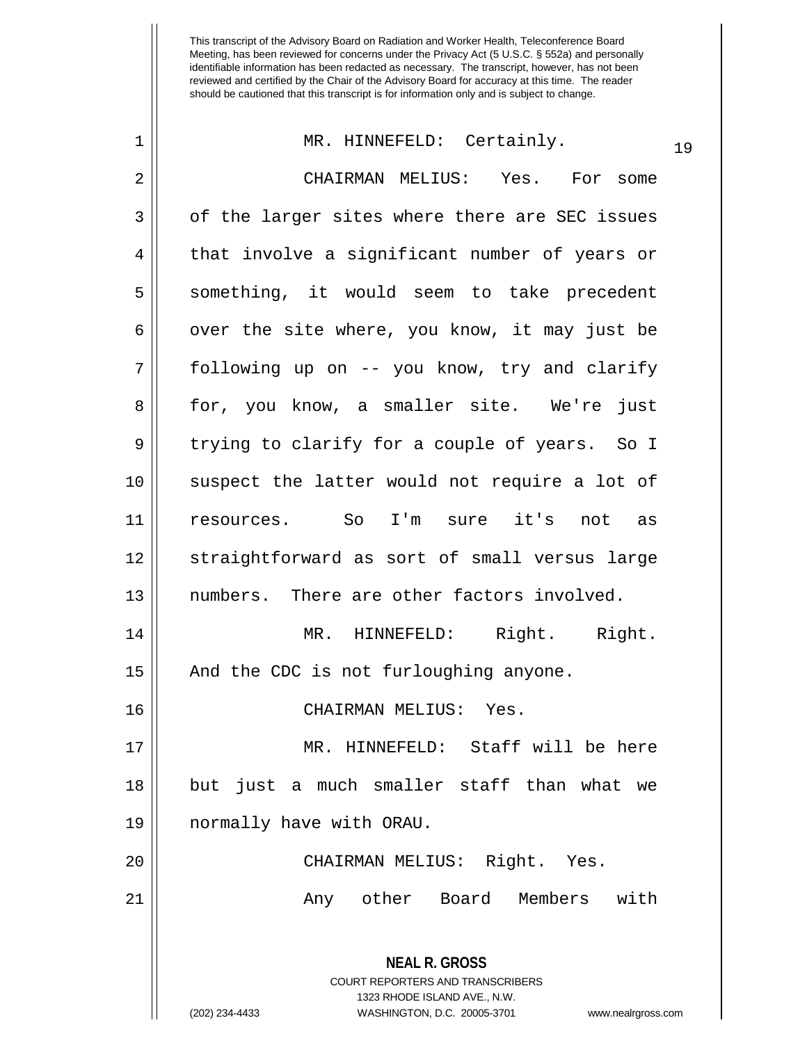| 1  | MR. HINNEFELD: Certainly.                                                                       | 19 |
|----|-------------------------------------------------------------------------------------------------|----|
| 2  | CHAIRMAN MELIUS: Yes. For some                                                                  |    |
| 3  | of the larger sites where there are SEC issues                                                  |    |
| 4  | that involve a significant number of years or                                                   |    |
| 5  | something, it would seem to take precedent                                                      |    |
| 6  | over the site where, you know, it may just be                                                   |    |
| 7  | following up on -- you know, try and clarify                                                    |    |
| 8  | for, you know, a smaller site. We're just                                                       |    |
| 9  | trying to clarify for a couple of years. So I                                                   |    |
| 10 | suspect the latter would not require a lot of                                                   |    |
| 11 | resources. So I'm sure it's not as                                                              |    |
| 12 | straightforward as sort of small versus large                                                   |    |
| 13 | numbers. There are other factors involved.                                                      |    |
| 14 | MR. HINNEFELD: Right. Right.                                                                    |    |
| 15 | And the CDC is not furloughing anyone.                                                          |    |
| 16 | CHAIRMAN MELIUS: Yes.                                                                           |    |
| 17 | MR. HINNEFELD: Staff will be here                                                               |    |
| 18 | but just a much smaller staff than what we                                                      |    |
| 19 | normally have with ORAU.                                                                        |    |
| 20 | CHAIRMAN MELIUS: Right. Yes.                                                                    |    |
| 21 | Any other Board Members with                                                                    |    |
|    | <b>NEAL R. GROSS</b><br><b>COURT REPORTERS AND TRANSCRIBERS</b><br>1323 RHODE ISLAND AVE., N.W. |    |
|    | WASHINGTON, D.C. 20005-3701<br>(202) 234-4433<br>www.nealrgross.com                             |    |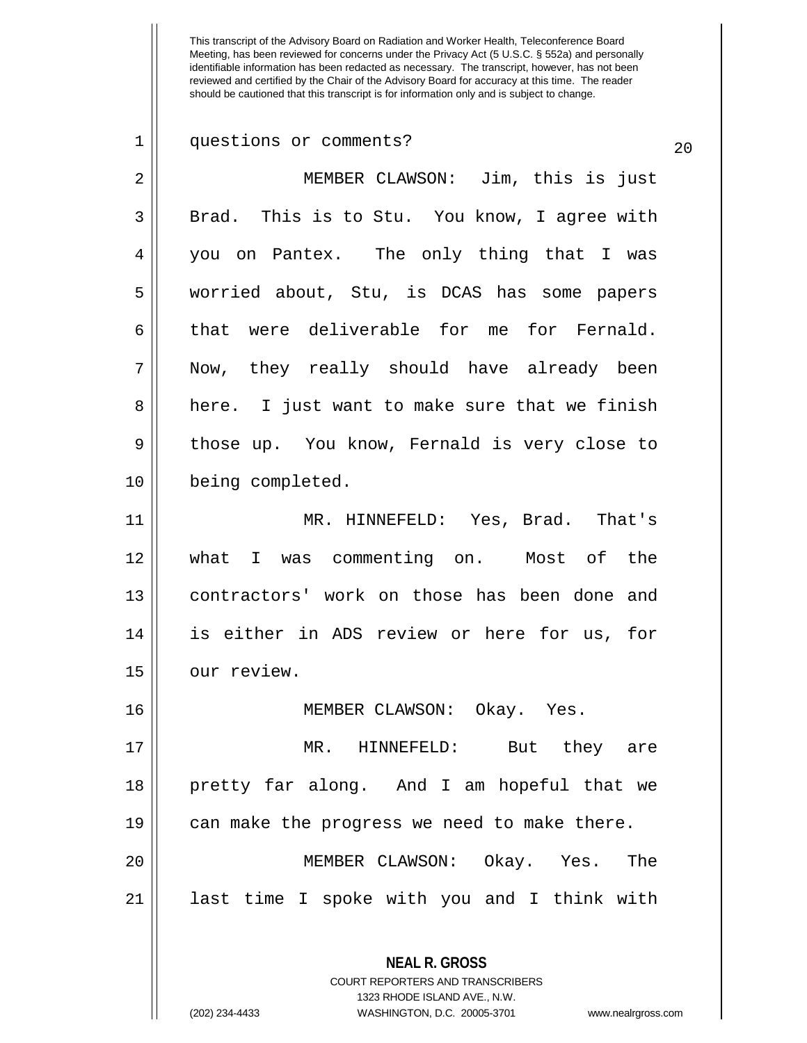| $\mathbf 1$    | questions or comments?<br>20                                                                    |
|----------------|-------------------------------------------------------------------------------------------------|
| $\overline{2}$ | MEMBER CLAWSON: Jim, this is just                                                               |
| 3              | Brad. This is to Stu. You know, I agree with                                                    |
| 4              | you on Pantex. The only thing that I was                                                        |
| 5              | worried about, Stu, is DCAS has some papers                                                     |
| 6              | that were deliverable for me for Fernald.                                                       |
| 7              | Now, they really should have already been                                                       |
| 8              | here. I just want to make sure that we finish                                                   |
| 9              | those up. You know, Fernald is very close to                                                    |
| 10             | being completed.                                                                                |
| 11             | MR. HINNEFELD: Yes, Brad. That's                                                                |
| 12             | what I was commenting on. Most of the                                                           |
| 13             | contractors' work on those has been done and                                                    |
| 14             | is either in ADS review or here for us, for                                                     |
| 15             | our review.                                                                                     |
| 16             | MEMBER CLAWSON: Okay. Yes.                                                                      |
| 17             | MR. HINNEFELD: But they are                                                                     |
| 18             | pretty far along. And I am hopeful that we                                                      |
| 19             | can make the progress we need to make there.                                                    |
| 20             | MEMBER CLAWSON: Okay. Yes.<br>The                                                               |
| 21             | last time I spoke with you and I think with                                                     |
|                | <b>NEAL R. GROSS</b><br><b>COURT REPORTERS AND TRANSCRIBERS</b><br>1323 RHODE ISLAND AVE., N.W. |

 $\frac{1}{2}$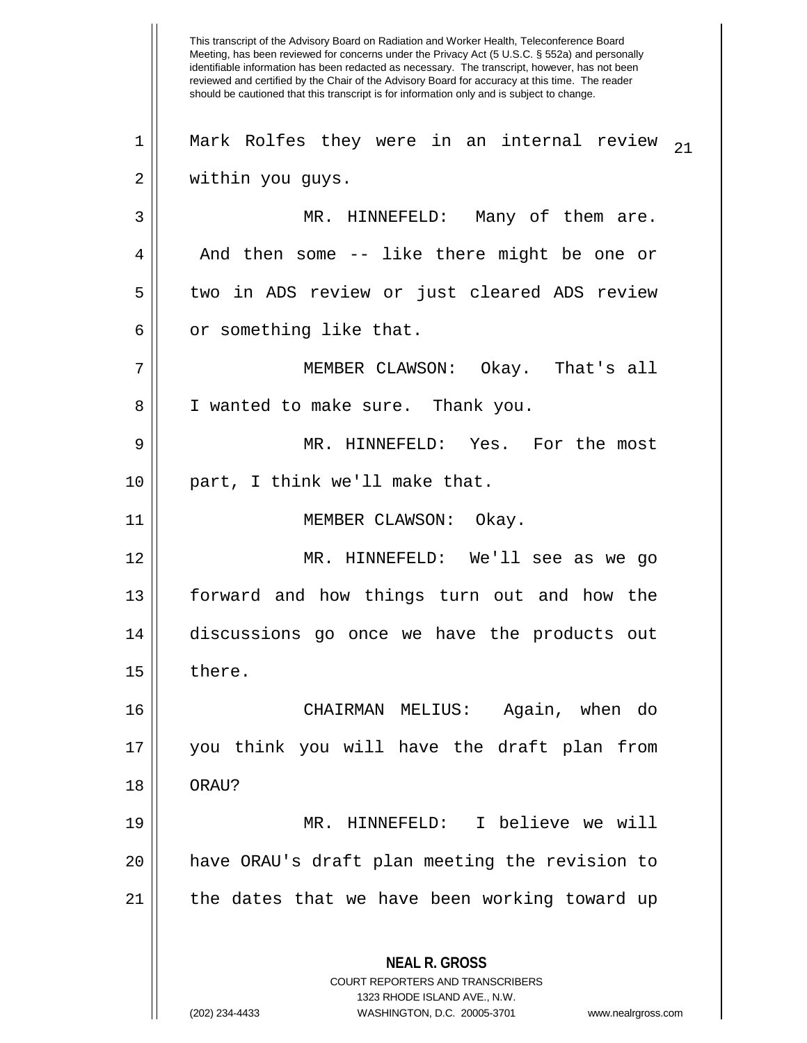This transcript of the Advisory Board on Radiation and Worker Health, Teleconference Board Meeting, has been reviewed for concerns under the Privacy Act (5 U.S.C. § 552a) and personally identifiable information has been redacted as necessary. The transcript, however, has not been reviewed and certified by the Chair of the Advisory Board for accuracy at this time. The reader should be cautioned that this transcript is for information only and is subject to change. **NEAL R. GROSS** COURT REPORTERS AND TRANSCRIBERS 1323 RHODE ISLAND AVE., N.W. (202) 234-4433 WASHINGTON, D.C. 20005-3701 www.nealrgross.com  $1$  || Mark Rolfes they were in an internal review  $_{21}$ 2 || within you guys. 3 || MR. HINNEFELD: Many of them are.  $4 \parallel$  And then some -- like there might be one or 5 || two in ADS review or just cleared ADS review  $6 \parallel$  or something like that. 7 MEMBER CLAWSON: Okay. That's all 8 || I wanted to make sure. Thank you. 9 MR. HINNEFELD: Yes. For the most 10 part, I think we'll make that. 11 || MEMBER CLAWSON: Okay. 12 MR. HINNEFELD: We'll see as we go 13 forward and how things turn out and how the 14 discussions go once we have the products out  $15 \parallel$  there. 16 CHAIRMAN MELIUS: Again, when do 17 you think you will have the draft plan from 18 || ORAU? 19 MR. HINNEFELD: I believe we will 20 have ORAU's draft plan meeting the revision to 21 || the dates that we have been working toward up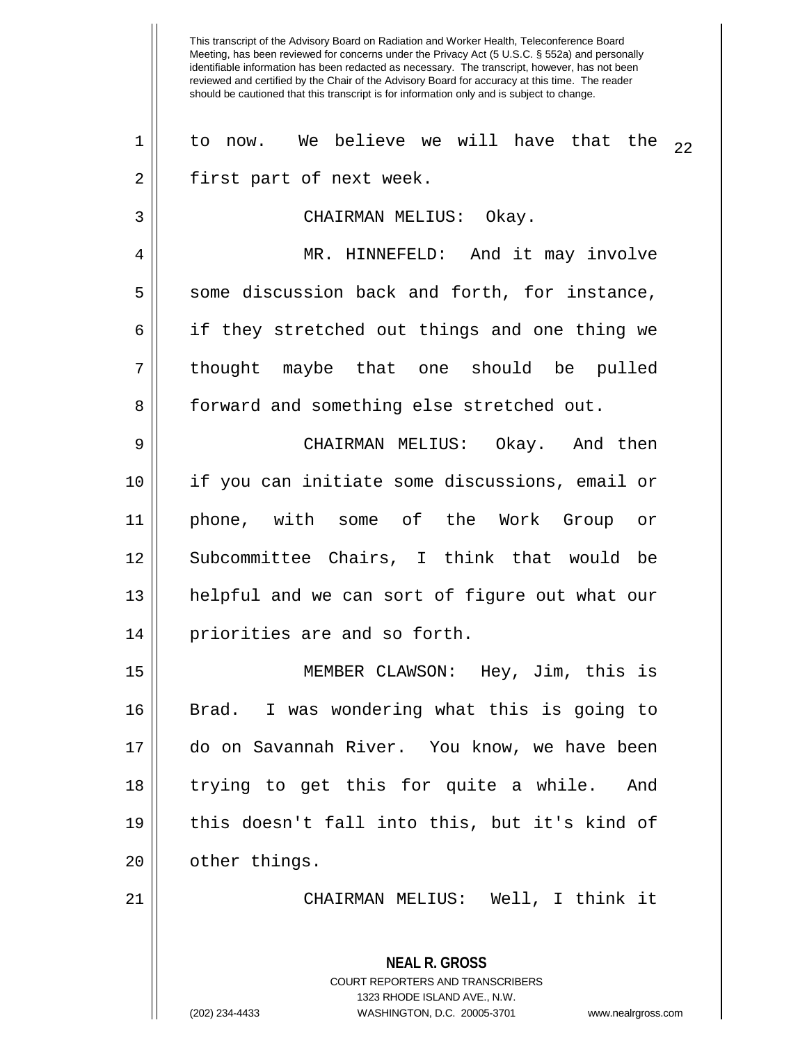This transcript of the Advisory Board on Radiation and Worker Health, Teleconference Board Meeting, has been reviewed for concerns under the Privacy Act (5 U.S.C. § 552a) and personally identifiable information has been redacted as necessary. The transcript, however, has not been reviewed and certified by the Chair of the Advisory Board for accuracy at this time. The reader should be cautioned that this transcript is for information only and is subject to change. **NEAL R. GROSS** COURT REPORTERS AND TRANSCRIBERS 1323 RHODE ISLAND AVE., N.W.  $22$  1 || to now. We believe we will have that the  $22$ 2 || first part of next week. 3 CHAIRMAN MELIUS: Okay. 4 | MR. HINNEFELD: And it may involve 5 Some discussion back and forth, for instance, 6 || if they stretched out things and one thing we 7 || thought maybe that one should be pulled 8 | forward and something else stretched out. 9 CHAIRMAN MELIUS: Okay. And then 10 if you can initiate some discussions, email or 11 phone, with some of the Work Group or 12 Subcommittee Chairs, I think that would be 13 helpful and we can sort of figure out what our 14 || priorities are and so forth. 15 MEMBER CLAWSON: Hey, Jim, this is 16 Brad. I was wondering what this is going to 17 do on Savannah River. You know, we have been 18 trying to get this for quite a while. And 19 this doesn't fall into this, but it's kind of 20 | other things. 21 CHAIRMAN MELIUS: Well, I think it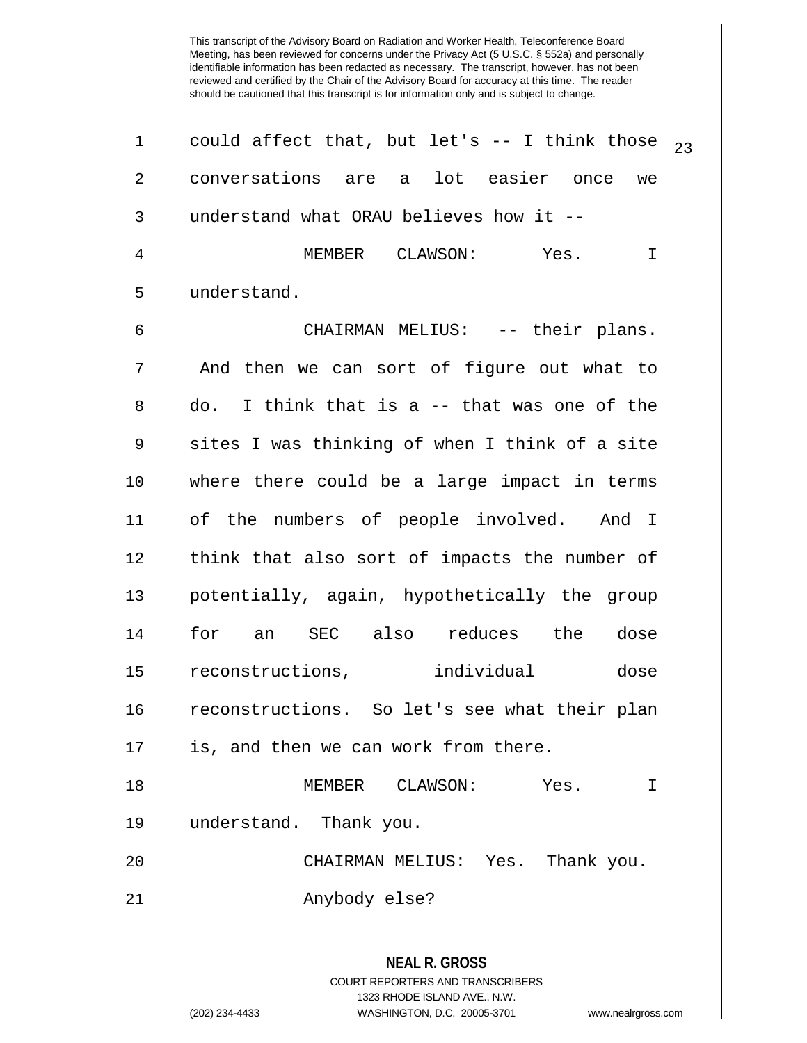Meeting, has been reviewed for concerns under the Privacy Act (5 U.S.C. § 552a) and personally identifiable information has been redacted as necessary. The transcript, however, has not been reviewed and certified by the Chair of the Advisory Board for accuracy at this time. The reader should be cautioned that this transcript is for information only and is subject to change. **NEAL R. GROSS** COURT REPORTERS AND TRANSCRIBERS 1323 RHODE ISLAND AVE., N.W. (202) 234-4433 WASHINGTON, D.C. 20005-3701 www.nealrgross.com 1 || could affect that, but let's -- I think those  $_{23}$ 2 conversations are a lot easier once we 3 | understand what ORAU believes how it --4 MEMBER CLAWSON: Yes. I 5 understand. 6 CHAIRMAN MELIUS: -- their plans.  $7$  || And then we can sort of figure out what to  $8 \parallel$  do. I think that is a -- that was one of the  $9 \parallel$  sites I was thinking of when I think of a site 10 where there could be a large impact in terms 11 of the numbers of people involved. And I 12 || think that also sort of impacts the number of 13 potentially, again, hypothetically the group 14 for an SEC also reduces the dose 15 reconstructions, individual dose 16 reconstructions. So let's see what their plan 17 || is, and then we can work from there. 18 MEMBER CLAWSON: Yes. I 19 understand. Thank you. 20 CHAIRMAN MELIUS: Yes. Thank you. 21 || Anybody else?

This transcript of the Advisory Board on Radiation and Worker Health, Teleconference Board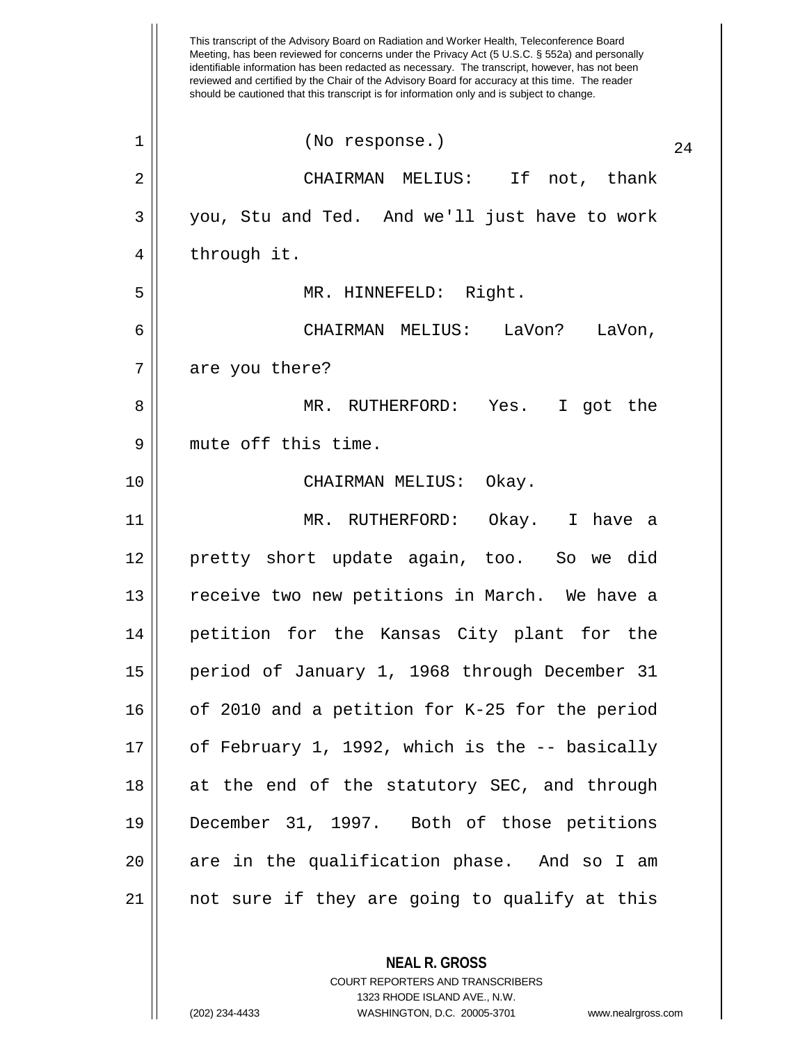This transcript of the Advisory Board on Radiation and Worker Health, Teleconference Board Meeting, has been reviewed for concerns under the Privacy Act (5 U.S.C. § 552a) and personally identifiable information has been redacted as necessary. The transcript, however, has not been reviewed and certified by the Chair of the Advisory Board for accuracy at this time. The reader should be cautioned that this transcript is for information only and is subject to change.  $\begin{array}{c|c} 1 & \text{No response.} \end{array}$  (No response.) 24 2 CHAIRMAN MELIUS: If not, thank 3 || you, Stu and Ted. And we'll just have to work 4 || through it. 5 MR. HINNEFELD: Right. 6 CHAIRMAN MELIUS: LaVon? LaVon,  $7 ||$  are you there? 8 MR. RUTHERFORD: Yes. I got the 9 || mute off this time. 10 CHAIRMAN MELIUS: Okay. 11 MR. RUTHERFORD: Okay. I have a 12 pretty short update again, too. So we did 13 || receive two new petitions in March. We have a 14 petition for the Kansas City plant for the 15 period of January 1, 1968 through December 31 16 | of 2010 and a petition for K-25 for the period 17 of February 1, 1992, which is the -- basically 18 || at the end of the statutory SEC, and through 19 December 31, 1997. Both of those petitions  $20$  || are in the qualification phase. And so I am 21 not sure if they are going to qualify at this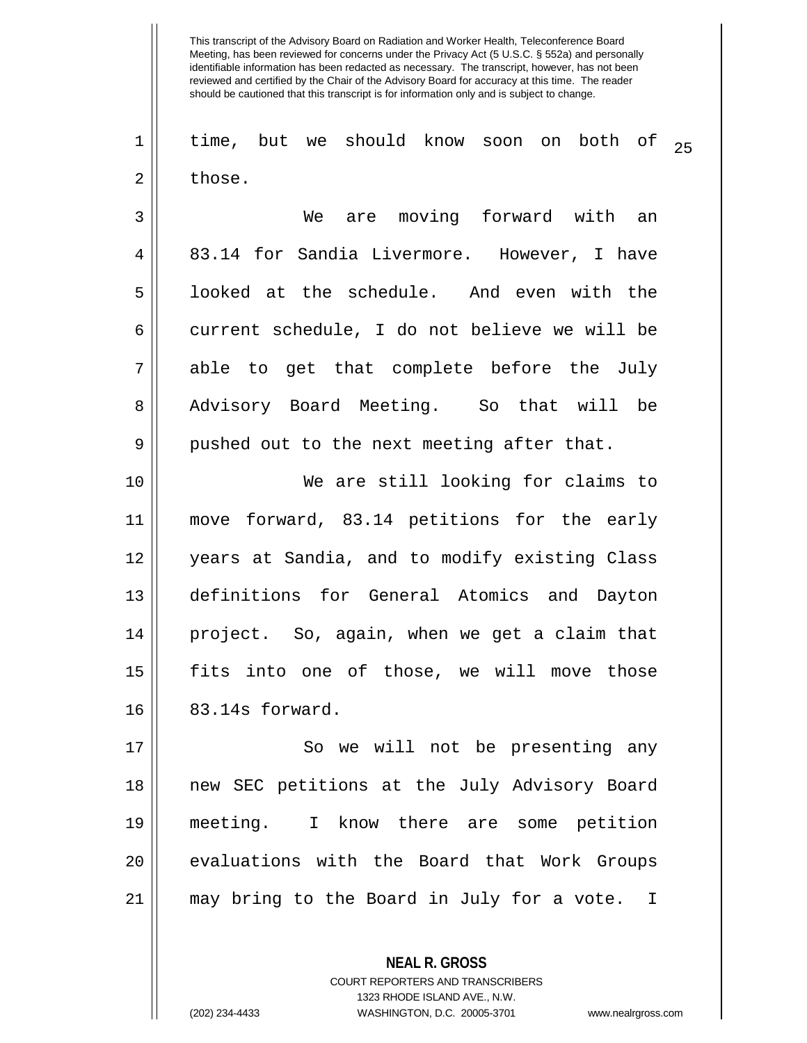1 || time, but we should know soon on both of  $_{25}$  $2 \parallel$  those.

3 We are moving forward with an 4 || 83.14 for Sandia Livermore. However, I have 5 | looked at the schedule. And even with the 6 current schedule, I do not believe we will be  $7 ||$  able to get that complete before the July 8 Advisory Board Meeting. So that will be  $9 \parallel$  pushed out to the next meeting after that.

 We are still looking for claims to move forward, 83.14 petitions for the early years at Sandia, and to modify existing Class definitions for General Atomics and Dayton project. So, again, when we get a claim that fits into one of those, we will move those **83.14s** forward.

17 || So we will not be presenting any new SEC petitions at the July Advisory Board meeting. I know there are some petition | evaluations with the Board that Work Groups may bring to the Board in July for a vote. I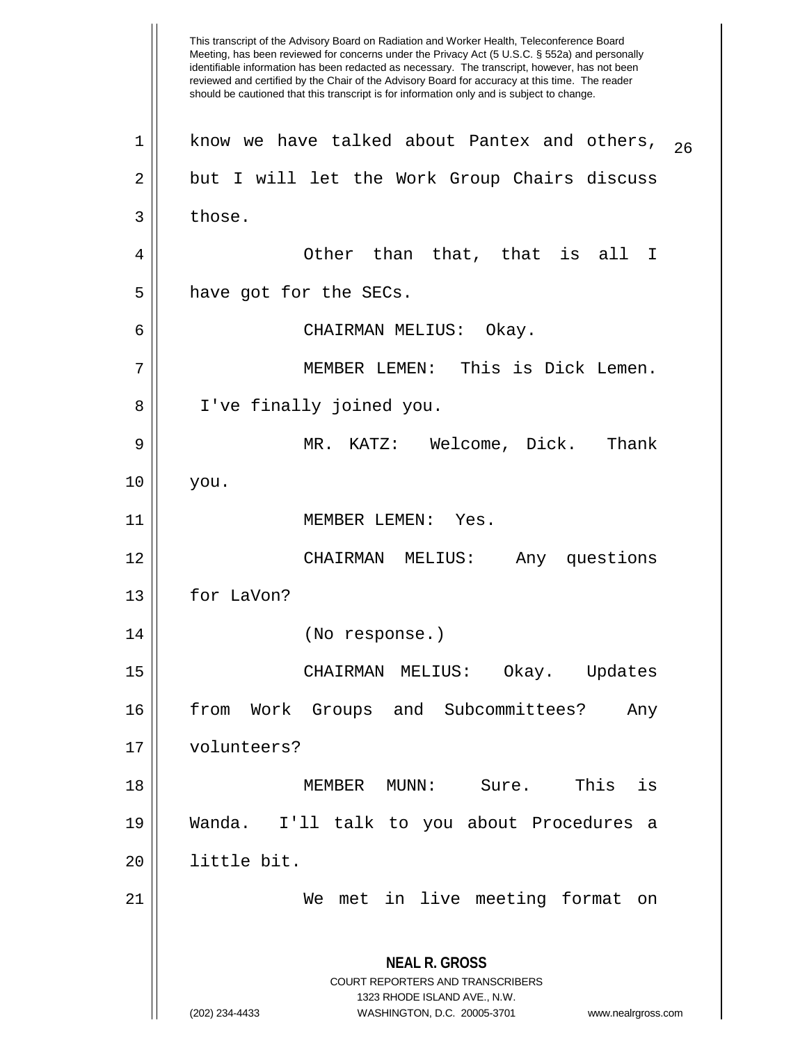This transcript of the Advisory Board on Radiation and Worker Health, Teleconference Board Meeting, has been reviewed for concerns under the Privacy Act (5 U.S.C. § 552a) and personally identifiable information has been redacted as necessary. The transcript, however, has not been reviewed and certified by the Chair of the Advisory Board for accuracy at this time. The reader should be cautioned that this transcript is for information only and is subject to change. **NEAL R. GROSS** COURT REPORTERS AND TRANSCRIBERS 1323 RHODE ISLAND AVE., N.W. (202) 234-4433 WASHINGTON, D.C. 20005-3701 www.nealrgross.com  $1$  know we have talked about Pantex and others,  $26$  $2 \parallel$  but I will let the Work Group Chairs discuss  $3 \parallel$  those. 4 Other than that, that is all I  $5$  | have got for the SECs. 6 CHAIRMAN MELIUS: Okay. 7 MEMBER LEMEN: This is Dick Lemen. 8 I've finally joined you. 9 MR. KATZ: Welcome, Dick. Thank 10 you. 11 || MEMBER LEMEN: Yes. 12 CHAIRMAN MELIUS: Any questions 13 | for LaVon? 14 (No response.) 15 CHAIRMAN MELIUS: Okay. Updates 16 || from Work Groups and Subcommittees? Any 17 volunteers? 18 MEMBER MUNN: Sure. This is 19 Wanda. I'll talk to you about Procedures a 20 little bit. 21 We met in live meeting format on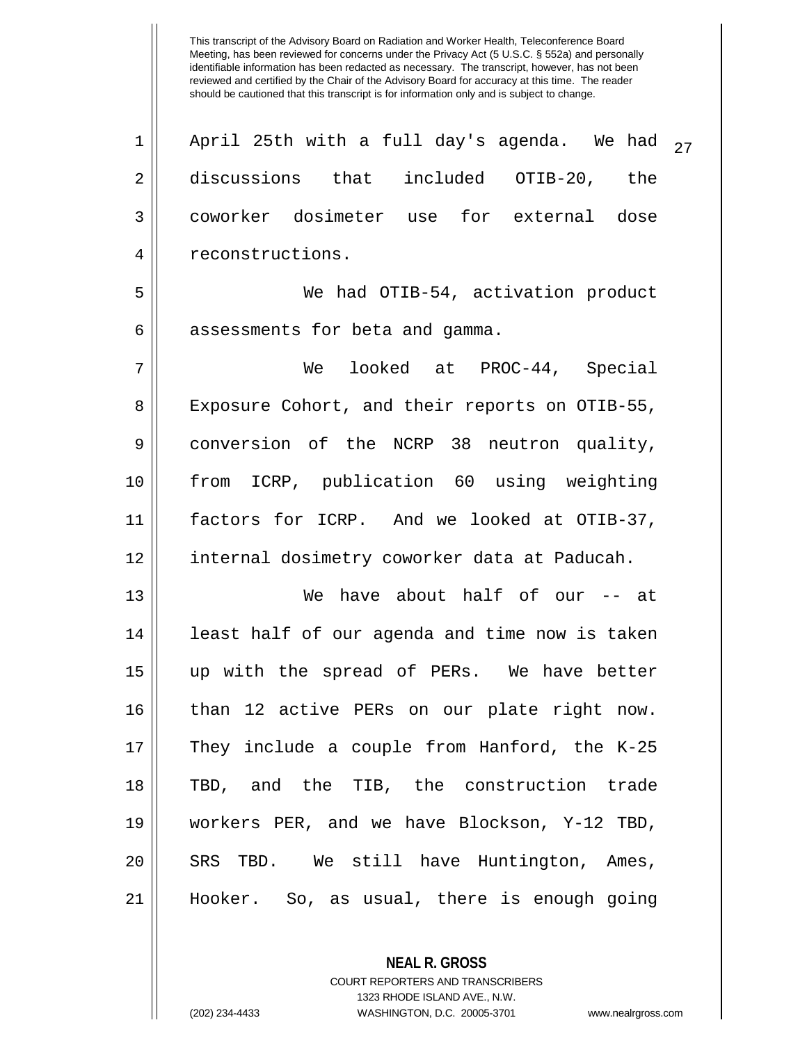Meeting, has been reviewed for concerns under the Privacy Act (5 U.S.C. § 552a) and personally identifiable information has been redacted as necessary. The transcript, however, has not been reviewed and certified by the Chair of the Advisory Board for accuracy at this time. The reader should be cautioned that this transcript is for information only and is subject to change. 1 || April 25th with a full day's agenda. We had  $\frac{1}{27}$ 2 discussions that included OTIB-20, the 3 coworker dosimeter use for external dose 4 || reconstructions. 5 We had OTIB-54, activation product  $6 \parallel$  assessments for beta and gamma. 7 We looked at PROC-44, Special 8 || Exposure Cohort, and their reports on OTIB-55, 9 conversion of the NCRP 38 neutron quality, 10 from ICRP, publication 60 using weighting 11 factors for ICRP. And we looked at OTIB-37, 12 | internal dosimetry coworker data at Paducah. 13 We have about half of our -- at 14 || least half of our agenda and time now is taken 15 up with the spread of PERs. We have better 16 than 12 active PERs on our plate right now. 17 They include a couple from Hanford, the K-25 18 TBD, and the TIB, the construction trade 19 workers PER, and we have Blockson, Y-12 TBD, 20 || SRS TBD. We still have Huntington, Ames, 21 Hooker. So, as usual, there is enough going

This transcript of the Advisory Board on Radiation and Worker Health, Teleconference Board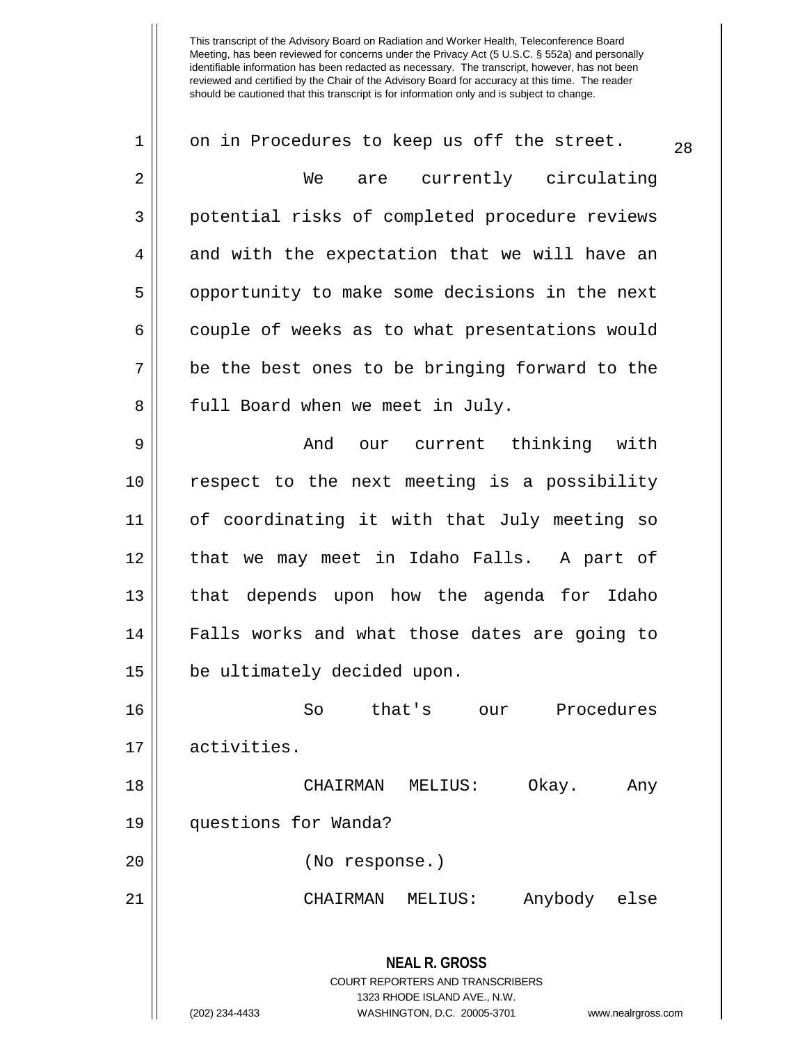| 1  | on in Procedures to keep us off the street.                                                     | 28 |
|----|-------------------------------------------------------------------------------------------------|----|
| 2  | are currently circulating<br>We                                                                 |    |
| 3  | potential risks of completed procedure reviews                                                  |    |
| 4  | and with the expectation that we will have an                                                   |    |
| 5  | opportunity to make some decisions in the next                                                  |    |
| 6  | couple of weeks as to what presentations would                                                  |    |
| 7  | be the best ones to be bringing forward to the                                                  |    |
| 8  | full Board when we meet in July.                                                                |    |
| 9  | our current thinking with<br>And                                                                |    |
| 10 | respect to the next meeting is a possibility                                                    |    |
| 11 | of coordinating it with that July meeting so                                                    |    |
| 12 | that we may meet in Idaho Falls. A part of                                                      |    |
| 13 | that depends upon how the agenda for Idaho                                                      |    |
| 14 | Falls works and what those dates are going to                                                   |    |
| 15 | be ultimately decided upon.                                                                     |    |
| 16 | that's<br>So<br>Procedures<br>our                                                               |    |
| 17 | activities.                                                                                     |    |
| 18 | CHAIRMAN MELIUS:<br>Okay.<br>Any                                                                |    |
| 19 | questions for Wanda?                                                                            |    |
| 20 | (No response.)                                                                                  |    |
| 21 | CHAIRMAN MELIUS:<br>Anybody else                                                                |    |
|    | <b>NEAL R. GROSS</b><br><b>COURT REPORTERS AND TRANSCRIBERS</b><br>1323 RHODE ISLAND AVE., N.W. |    |
|    | (202) 234-4433<br>WASHINGTON, D.C. 20005-3701<br>www.nealrgross.com                             |    |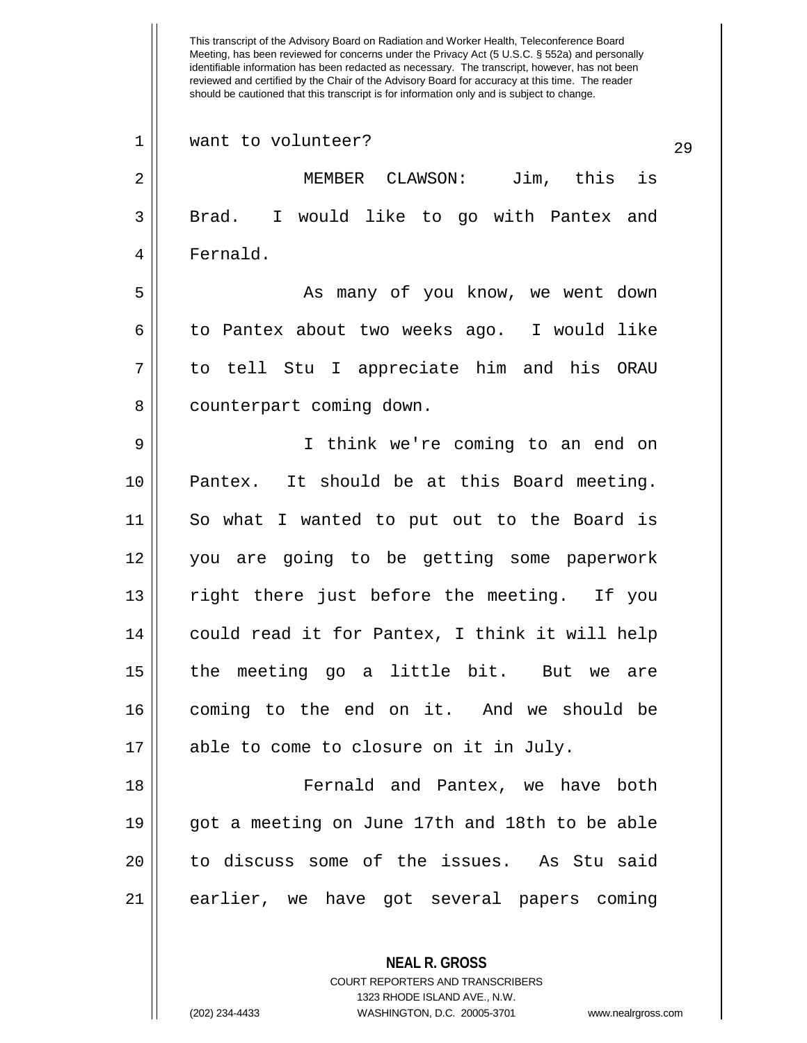| 1  | want to volunteer?<br>29                       |
|----|------------------------------------------------|
| 2  | MEMBER CLAWSON: Jim, this is                   |
| 3  | Brad. I would like to go with Pantex and       |
| 4  | Fernald.                                       |
| 5  | As many of you know, we went down              |
| 6  | to Pantex about two weeks ago. I would like    |
| 7  | to tell Stu I appreciate him and his ORAU      |
| 8  | counterpart coming down.                       |
| 9  | I think we're coming to an end on              |
| 10 | Pantex. It should be at this Board meeting.    |
| 11 | So what I wanted to put out to the Board is    |
| 12 | you are going to be getting some paperwork     |
| 13 | right there just before the meeting. If you    |
| 14 | could read it for Pantex, I think it will help |
| 15 | the meeting go a little bit. But we are        |
| 16 | coming to the end on it. And we should be      |
| 17 | able to come to closure on it in July.         |
| 18 | Fernald and Pantex, we have both               |
| 19 | got a meeting on June 17th and 18th to be able |
| 20 | to discuss some of the issues. As Stu said     |
| 21 | earlier, we have got several papers coming     |
|    | <b>NEAL R. GROSS</b>                           |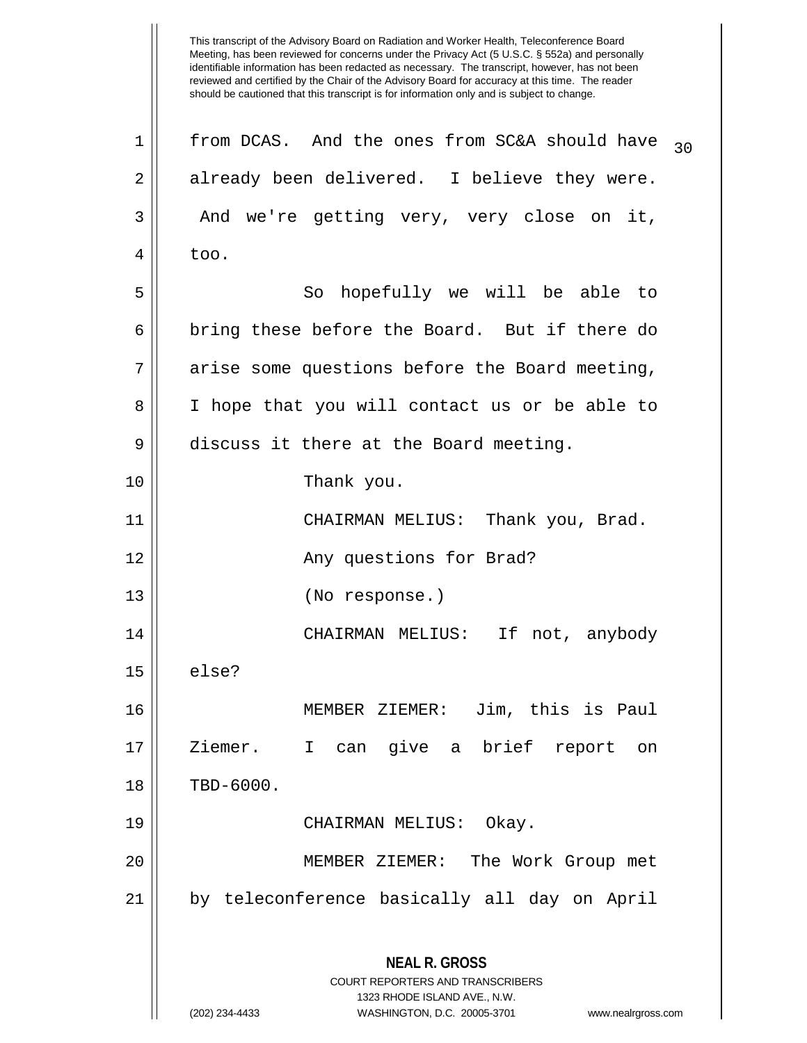This transcript of the Advisory Board on Radiation and Worker Health, Teleconference Board Meeting, has been reviewed for concerns under the Privacy Act (5 U.S.C. § 552a) and personally identifiable information has been redacted as necessary. The transcript, however, has not been reviewed and certified by the Chair of the Advisory Board for accuracy at this time. The reader should be cautioned that this transcript is for information only and is subject to change. **NEAL R. GROSS** COURT REPORTERS AND TRANSCRIBERS 1323 RHODE ISLAND AVE., N.W. (202) 234-4433 WASHINGTON, D.C. 20005-3701 www.nealrgross.com  $1 \parallel$  from DCAS. And the ones from SC&A should have  $_{30}$ 2 already been delivered. I believe they were. 3 and we're getting very, very close on it,  $4 \parallel$  too. 5 || So hopefully we will be able to  $6 \parallel$  bring these before the Board. But if there do  $7$  || arise some questions before the Board meeting, 8 || I hope that you will contact us or be able to 9 | discuss it there at the Board meeting. 10 Thank you. 11 CHAIRMAN MELIUS: Thank you, Brad. 12 || Any questions for Brad? 13 (No response.) 14 CHAIRMAN MELIUS: If not, anybody  $15 \parallel$  else? 16 MEMBER ZIEMER: Jim, this is Paul 17 Ziemer. I can give a brief report on 18 || TBD-6000. 19 CHAIRMAN MELIUS: Okay. 20 MEMBER ZIEMER: The Work Group met 21 by teleconference basically all day on April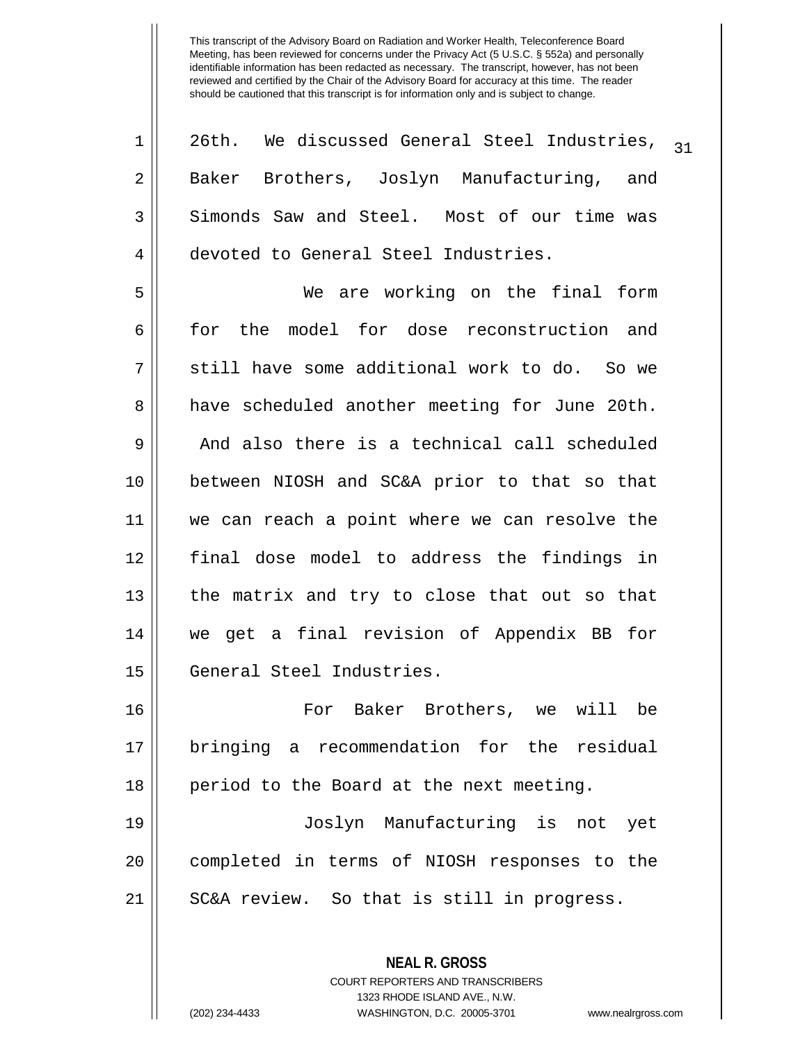| 1  | 26th. We discussed General Steel Industries,<br>31 |
|----|----------------------------------------------------|
| 2  | Baker Brothers, Joslyn Manufacturing, and          |
| 3  | Simonds Saw and Steel. Most of our time was        |
| 4  | devoted to General Steel Industries.               |
| 5  | We are working on the final form                   |
| 6  | for the model for dose reconstruction and          |
| 7  | still have some additional work to do. So we       |
| 8  | have scheduled another meeting for June 20th.      |
| 9  | And also there is a technical call scheduled       |
| 10 | between NIOSH and SC&A prior to that so that       |
| 11 | we can reach a point where we can resolve the      |
| 12 | final dose model to address the findings in        |
| 13 | the matrix and try to close that out so that       |
| 14 | we get a final revision of Appendix BB for         |
| 15 | General Steel Industries.                          |
| 16 | For Baker Brothers, we will<br>be                  |
| 17 | bringing a recommendation for the residual         |
| 18 | period to the Board at the next meeting.           |
| 19 | Joslyn Manufacturing is not yet                    |
| 20 | completed in terms of NIOSH responses to the       |
| 21 | SC&A review. So that is still in progress.         |
|    |                                                    |

**NEAL R. GROSS** COURT REPORTERS AND TRANSCRIBERS 1323 RHODE ISLAND AVE., N.W.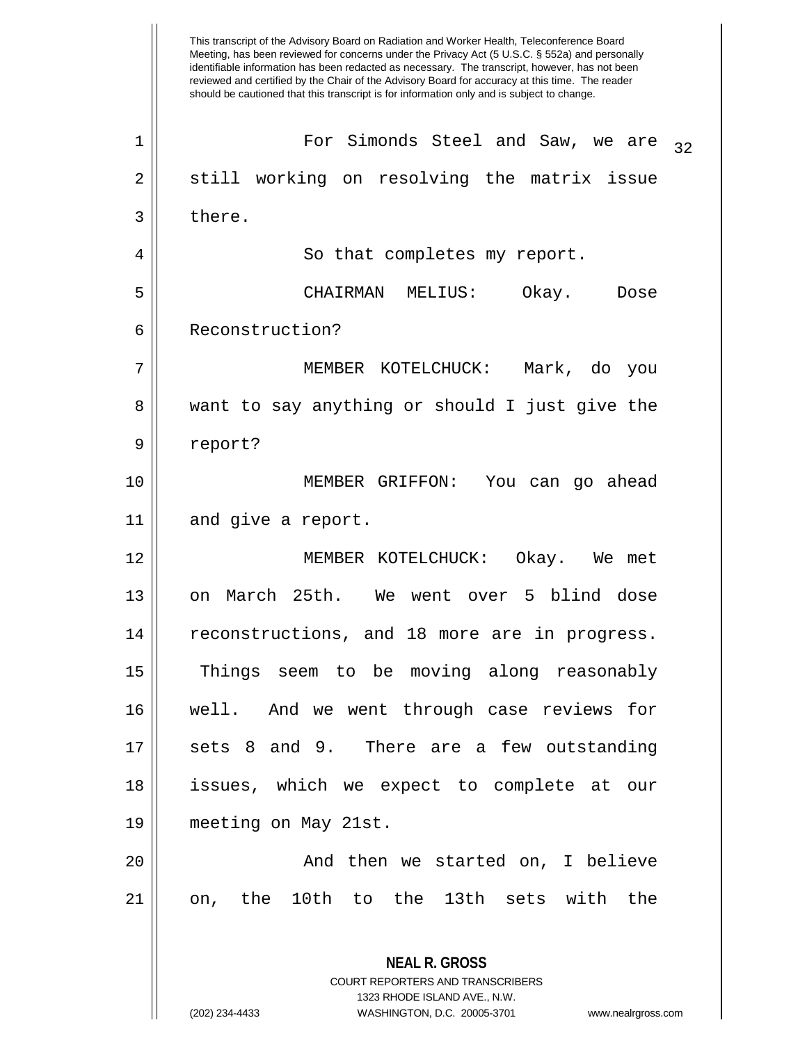Meeting, has been reviewed for concerns under the Privacy Act (5 U.S.C. § 552a) and personally identifiable information has been redacted as necessary. The transcript, however, has not been reviewed and certified by the Chair of the Advisory Board for accuracy at this time. The reader should be cautioned that this transcript is for information only and is subject to change. **NEAL R. GROSS** COURT REPORTERS AND TRANSCRIBERS  $1 \parallel$  For Simonds Steel and Saw, we are  $\frac{32}{2}$ 2 || still working on resolving the matrix issue  $3 \parallel$  there. 4 || So that completes my report. 5 CHAIRMAN MELIUS: Okay. Dose 6 Reconstruction? 7 MEMBER KOTELCHUCK: Mark, do you 8 want to say anything or should I just give the 9 report? 10 MEMBER GRIFFON: You can go ahead 11 || and give a report. 12 MEMBER KOTELCHUCK: Okay. We met 13 on March 25th. We went over 5 blind dose 14 || reconstructions, and 18 more are in progress. 15 Things seem to be moving along reasonably 16 well. And we went through case reviews for 17 || sets 8 and 9. There are a few outstanding 18 issues, which we expect to complete at our 19 meeting on May 21st. 20 And then we started on, I believe 21 on, the 10th to the 13th sets with the

1323 RHODE ISLAND AVE., N.W.

This transcript of the Advisory Board on Radiation and Worker Health, Teleconference Board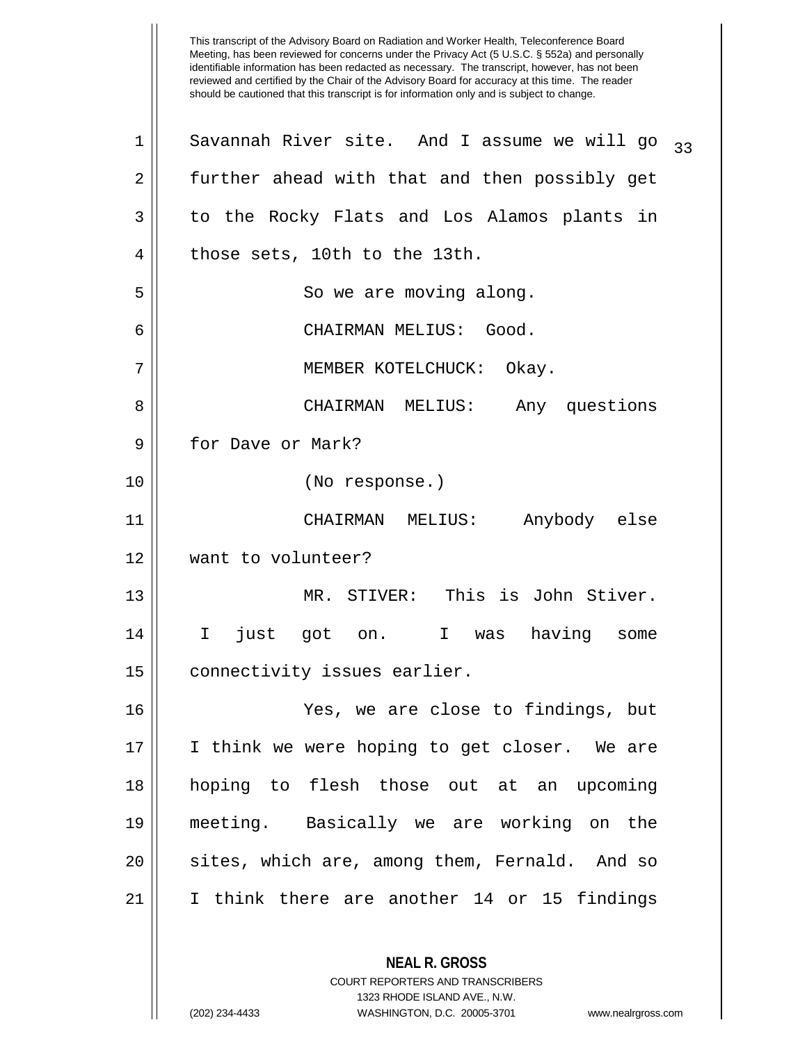This transcript of the Advisory Board on Radiation and Worker Health, Teleconference Board Meeting, has been reviewed for concerns under the Privacy Act (5 U.S.C. § 552a) and personally identifiable information has been redacted as necessary. The transcript, however, has not been reviewed and certified by the Chair of the Advisory Board for accuracy at this time. The reader should be cautioned that this transcript is for information only and is subject to change. **NEAL R. GROSS** COURT REPORTERS AND TRANSCRIBERS  $1 \parallel$  Savannah River site. And I assume we will go  $33 \pm 1$ 2 further ahead with that and then possibly get 3 || to the Rocky Flats and Los Alamos plants in 4 | those sets, 10th to the 13th. 5 | So we are moving along. 6 CHAIRMAN MELIUS: Good. 7 || MEMBER KOTELCHUCK: Okay. 8 CHAIRMAN MELIUS: Any questions 9 H for Dave or Mark? 10 (No response.) 11 CHAIRMAN MELIUS: Anybody else 12 want to volunteer? 13 MR. STIVER: This is John Stiver. 14 I just got on. I was having some 15 | connectivity issues earlier. 16 Yes, we are close to findings, but 17 I think we were hoping to get closer. We are 18 hoping to flesh those out at an upcoming 19 meeting. Basically we are working on the  $20$  sites, which are, among them, Fernald. And so 21 I think there are another 14 or 15 findings

1323 RHODE ISLAND AVE., N.W.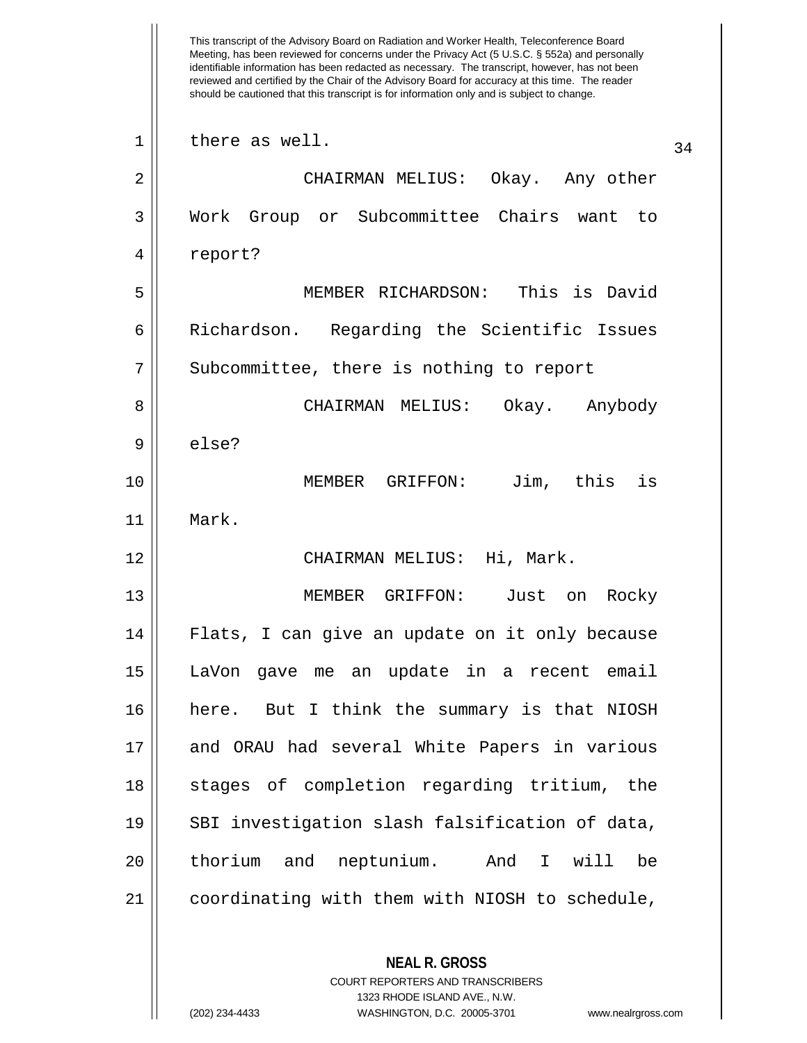This transcript of the Advisory Board on Radiation and Worker Health, Teleconference Board Meeting, has been reviewed for concerns under the Privacy Act (5 U.S.C. § 552a) and personally identifiable information has been redacted as necessary. The transcript, however, has not been reviewed and certified by the Chair of the Advisory Board for accuracy at this time. The reader should be cautioned that this transcript is for information only and is subject to change. **NEAL R. GROSS** COURT REPORTERS AND TRANSCRIBERS  $\begin{array}{c|c} 1 & \text{there as well.} \end{array}$ 2 CHAIRMAN MELIUS: Okay. Any other 3 Work Group or Subcommittee Chairs want to 4 report? 5 MEMBER RICHARDSON: This is David 6 || Richardson. Regarding the Scientific Issues 7 | Subcommittee, there is nothing to report 8 CHAIRMAN MELIUS: Okay. Anybody 9 else? 10 MEMBER GRIFFON: Jim, this is 11 Mark. 12 CHAIRMAN MELIUS: Hi, Mark. 13 MEMBER GRIFFON: Just on Rocky 14 Flats, I can give an update on it only because 15 LaVon gave me an update in a recent email 16 here. But I think the summary is that NIOSH 17 and ORAU had several White Papers in various 18 || stages of completion regarding tritium, the 19 || SBI investigation slash falsification of data, 20 | thorium and neptunium. And I will be 21 coordinating with them with NIOSH to schedule,

1323 RHODE ISLAND AVE., N.W.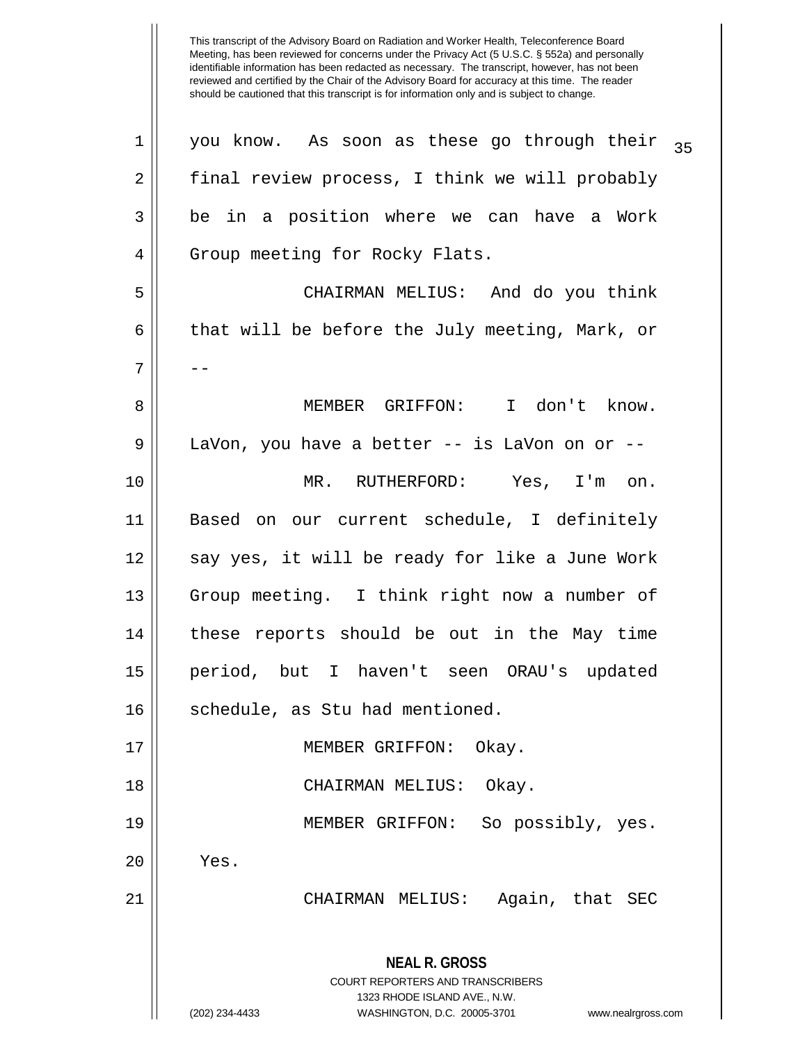This transcript of the Advisory Board on Radiation and Worker Health, Teleconference Board Meeting, has been reviewed for concerns under the Privacy Act (5 U.S.C. § 552a) and personally identifiable information has been redacted as necessary. The transcript, however, has not been reviewed and certified by the Chair of the Advisory Board for accuracy at this time. The reader should be cautioned that this transcript is for information only and is subject to change. **NEAL R. GROSS** COURT REPORTERS AND TRANSCRIBERS 1323 RHODE ISLAND AVE., N.W. (202) 234-4433 WASHINGTON, D.C. 20005-3701 www.nealrgross.com  $1 \parallel$  you know. As soon as these go through their  $\frac{1}{35}$ 2 | final review process, I think we will probably  $3 \parallel$  be in a position where we can have a Work 4 | Group meeting for Rocky Flats. 5 CHAIRMAN MELIUS: And do you think 6 || that will be before the July meeting, Mark, or 7 | --8 MEMBER GRIFFON: I don't know. 9 || LaVon, you have a better -- is LaVon on or --10 MR. RUTHERFORD: Yes, I'm on. 11 Based on our current schedule, I definitely 12 || say yes, it will be ready for like a June Work 13 || Group meeting. I think right now a number of 14 these reports should be out in the May time 15 period, but I haven't seen ORAU's updated 16 || schedule, as Stu had mentioned. 17 || MEMBER GRIFFON: Okay. 18 CHAIRMAN MELIUS: Okay. 19 MEMBER GRIFFON: So possibly, yes.  $20$  | Yes. 21 CHAIRMAN MELIUS: Again, that SEC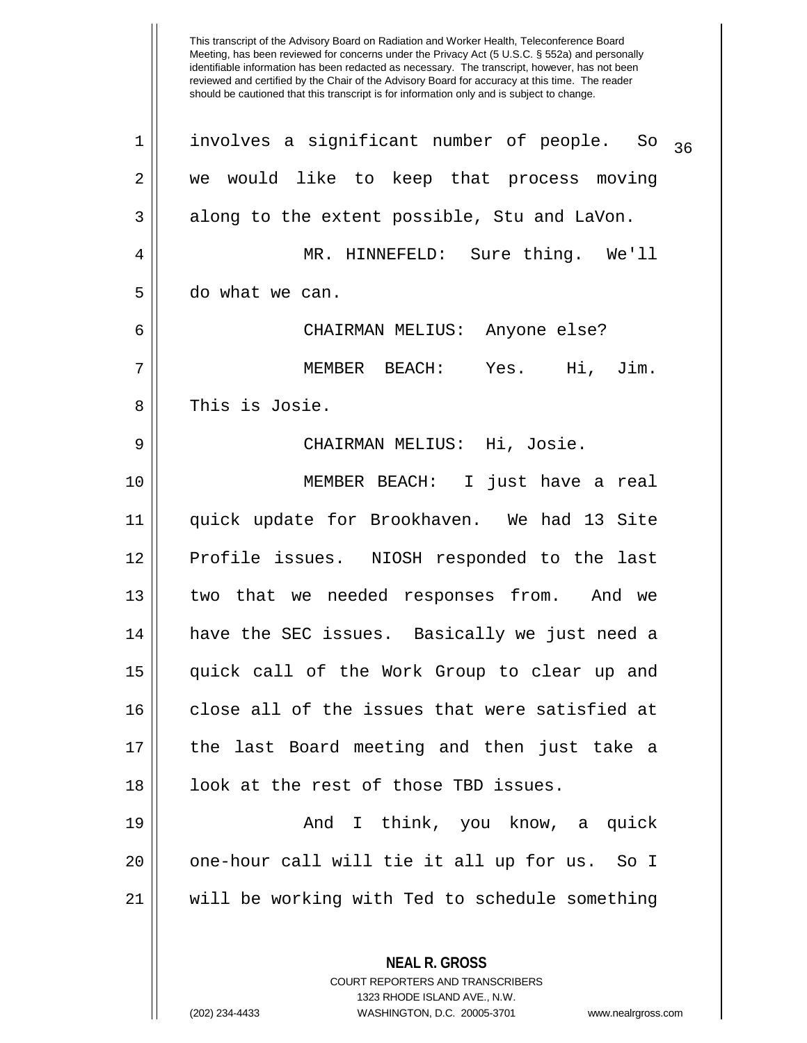This transcript of the Advisory Board on Radiation and Worker Health, Teleconference Board Meeting, has been reviewed for concerns under the Privacy Act (5 U.S.C. § 552a) and personally identifiable information has been redacted as necessary. The transcript, however, has not been reviewed and certified by the Chair of the Advisory Board for accuracy at this time. The reader should be cautioned that this transcript is for information only and is subject to change.  $1$  involves a significant number of people. So  $_{36}$ 2 || we would like to keep that process moving  $3 \parallel$  along to the extent possible, Stu and LaVon. 4 MR. HINNEFELD: Sure thing. We'll 5 do what we can. 6 CHAIRMAN MELIUS: Anyone else? 7 MEMBER BEACH: Yes. Hi, Jim. 8 || This is Josie. 9 CHAIRMAN MELIUS: Hi, Josie. 10 MEMBER BEACH: I just have a real 11 quick update for Brookhaven. We had 13 Site 12 Profile issues. NIOSH responded to the last 13 two that we needed responses from. And we 14 have the SEC issues. Basically we just need a 15 quick call of the Work Group to clear up and 16 close all of the issues that were satisfied at 17 the last Board meeting and then just take a 18 || look at the rest of those TBD issues. 19 And I think, you know, a quick 20 || one-hour call will tie it all up for us. So I 21 will be working with Ted to schedule something

> COURT REPORTERS AND TRANSCRIBERS 1323 RHODE ISLAND AVE., N.W. (202) 234-4433 WASHINGTON, D.C. 20005-3701 www.nealrgross.com

**NEAL R. GROSS**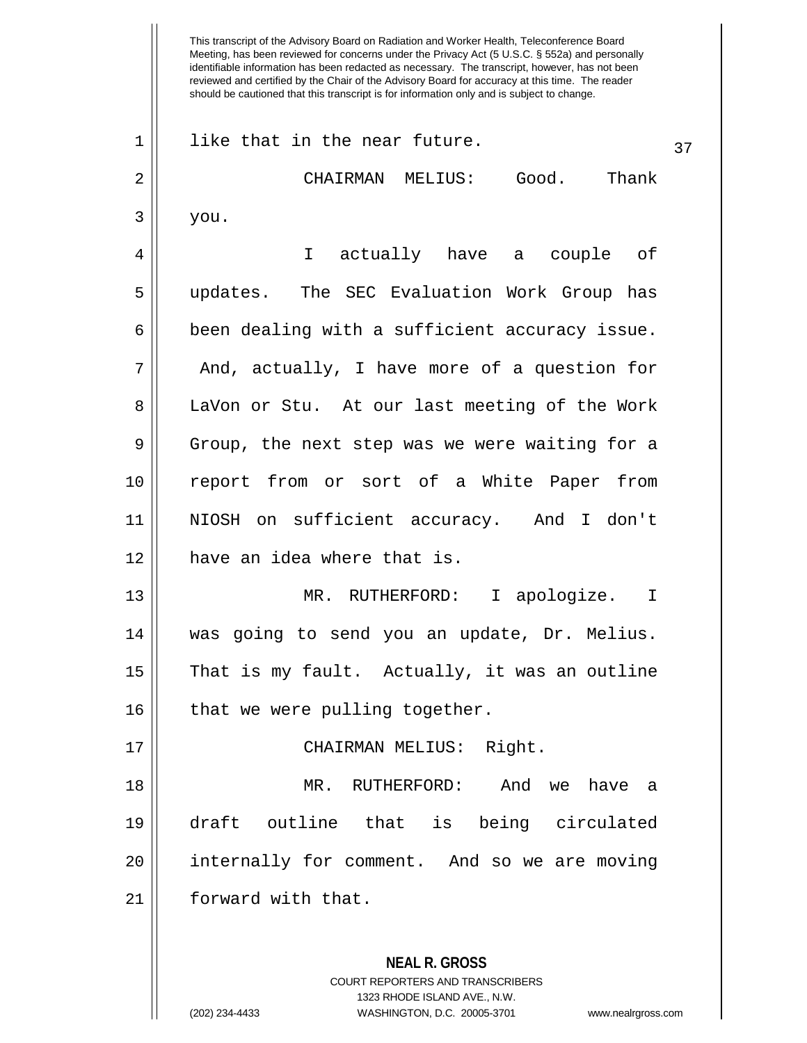Meeting, has been reviewed for concerns under the Privacy Act (5 U.S.C. § 552a) and personally identifiable information has been redacted as necessary. The transcript, however, has not been reviewed and certified by the Chair of the Advisory Board for accuracy at this time. The reader should be cautioned that this transcript is for information only and is subject to change. **NEAL R. GROSS** COURT REPORTERS AND TRANSCRIBERS 1323 RHODE ISLAND AVE., N.W.  $1 \parallel$  like that in the near future.  $37$ 2 CHAIRMAN MELIUS: Good. Thank  $3 \parallel$  you. 4 || I actually have a couple of 5 updates. The SEC Evaluation Work Group has  $6 \parallel$  been dealing with a sufficient accuracy issue.  $7 \parallel$  And, actually, I have more of a question for 8 || LaVon or Stu. At our last meeting of the Work 9 Group, the next step was we were waiting for a 10 || report from or sort of a White Paper from 11 NIOSH on sufficient accuracy. And I don't 12 have an idea where that is. 13 MR. RUTHERFORD: I apologize. I 14 was going to send you an update, Dr. Melius. 15 That is my fault. Actually, it was an outline  $16$  | that we were pulling together. 17 || CHAIRMAN MELIUS: Right. 18 MR. RUTHERFORD: And we have a 19 draft outline that is being circulated  $20$  | internally for comment. And so we are moving 21 | forward with that.

This transcript of the Advisory Board on Radiation and Worker Health, Teleconference Board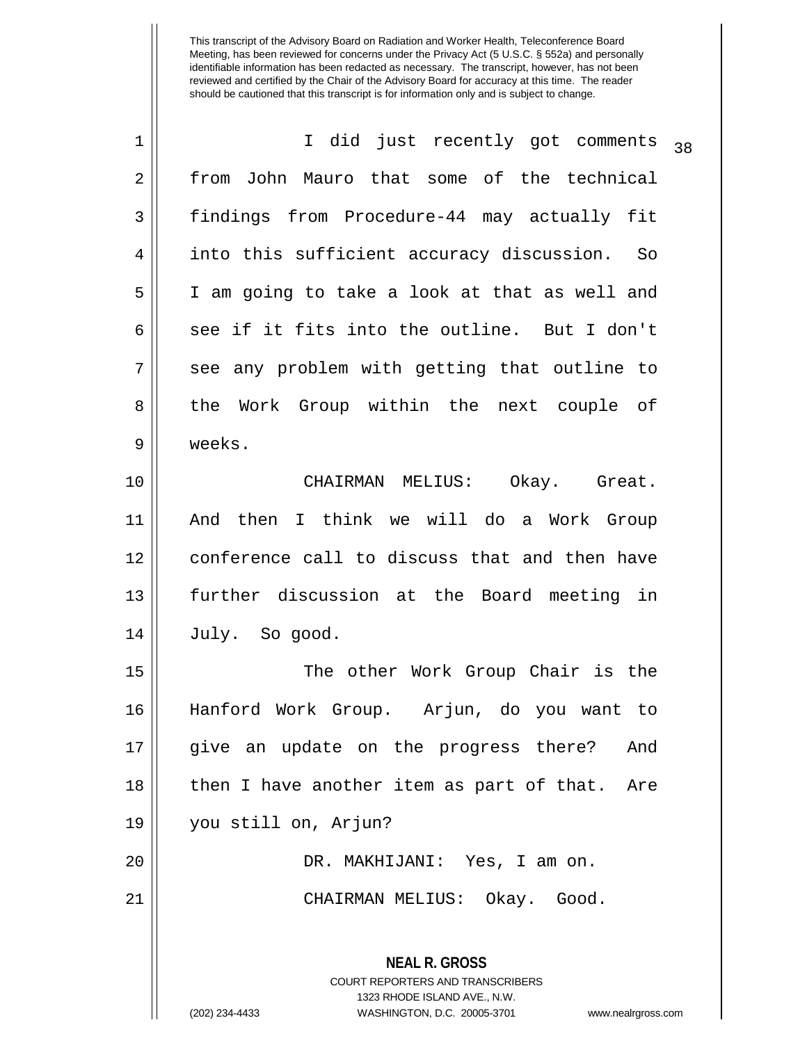| 1  | I did just recently got comments<br>38                                                                                                                                 |  |  |  |  |  |  |  |
|----|------------------------------------------------------------------------------------------------------------------------------------------------------------------------|--|--|--|--|--|--|--|
| 2  | from John Mauro that some of the technical                                                                                                                             |  |  |  |  |  |  |  |
| 3  | findings from Procedure-44 may actually fit                                                                                                                            |  |  |  |  |  |  |  |
| 4  | into this sufficient accuracy discussion. So                                                                                                                           |  |  |  |  |  |  |  |
| 5  | I am going to take a look at that as well and                                                                                                                          |  |  |  |  |  |  |  |
| 6  | see if it fits into the outline. But I don't                                                                                                                           |  |  |  |  |  |  |  |
| 7  | see any problem with getting that outline to                                                                                                                           |  |  |  |  |  |  |  |
| 8  | the Work Group within the next couple of                                                                                                                               |  |  |  |  |  |  |  |
| 9  | weeks.                                                                                                                                                                 |  |  |  |  |  |  |  |
| 10 | CHAIRMAN MELIUS: Okay. Great.                                                                                                                                          |  |  |  |  |  |  |  |
| 11 | And then I think we will do a Work Group                                                                                                                               |  |  |  |  |  |  |  |
| 12 | conference call to discuss that and then have                                                                                                                          |  |  |  |  |  |  |  |
| 13 | further discussion at the Board meeting in                                                                                                                             |  |  |  |  |  |  |  |
| 14 | July. So good.                                                                                                                                                         |  |  |  |  |  |  |  |
| 15 | The other Work Group Chair is the                                                                                                                                      |  |  |  |  |  |  |  |
| 16 | Hanford Work Group. Arjun, do you want to                                                                                                                              |  |  |  |  |  |  |  |
| 17 | give an update on the progress there? And                                                                                                                              |  |  |  |  |  |  |  |
| 18 | then I have another item as part of that. Are                                                                                                                          |  |  |  |  |  |  |  |
| 19 | you still on, Arjun?                                                                                                                                                   |  |  |  |  |  |  |  |
| 20 | DR. MAKHIJANI: Yes, I am on.                                                                                                                                           |  |  |  |  |  |  |  |
| 21 | CHAIRMAN MELIUS: Okay. Good.                                                                                                                                           |  |  |  |  |  |  |  |
|    | <b>NEAL R. GROSS</b><br><b>COURT REPORTERS AND TRANSCRIBERS</b><br>1323 RHODE ISLAND AVE., N.W.<br>(202) 234-4433<br>WASHINGTON, D.C. 20005-3701<br>www.nealrgross.com |  |  |  |  |  |  |  |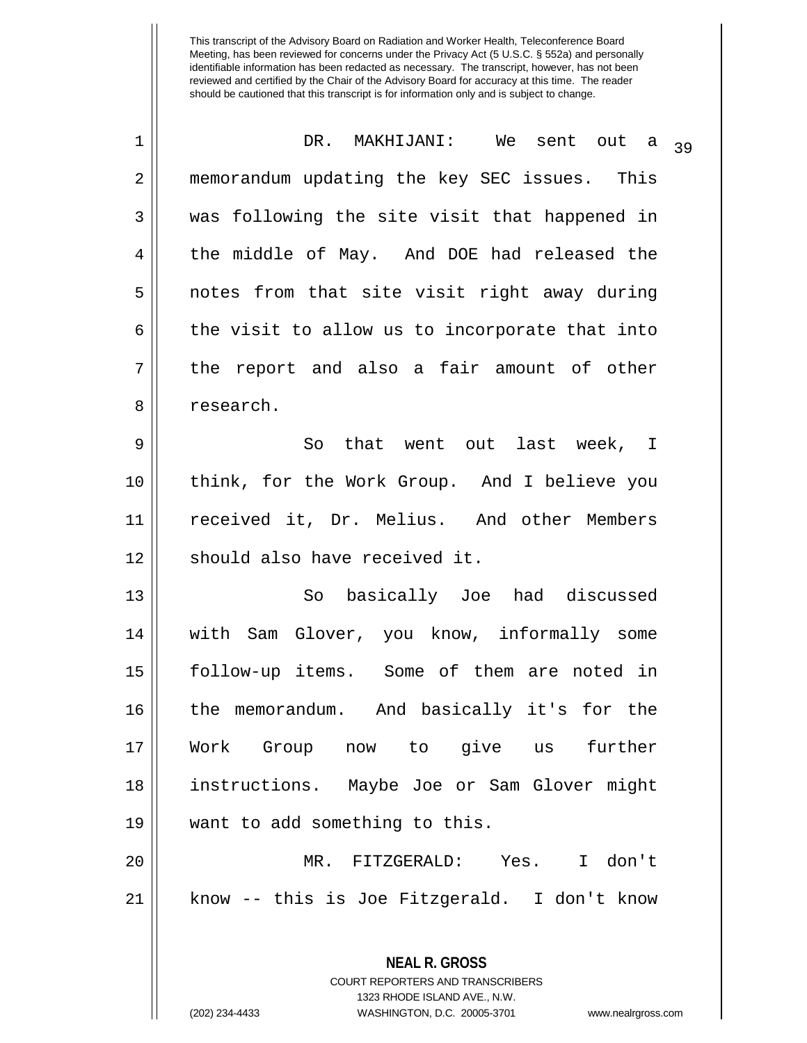| $\mathbf 1$    | DR. MAKHIJANI: We sent out a                                                                    | 39 |  |  |  |  |  |  |
|----------------|-------------------------------------------------------------------------------------------------|----|--|--|--|--|--|--|
| $\overline{a}$ | memorandum updating the key SEC issues. This                                                    |    |  |  |  |  |  |  |
| 3              | was following the site visit that happened in                                                   |    |  |  |  |  |  |  |
| 4              | the middle of May. And DOE had released the                                                     |    |  |  |  |  |  |  |
| 5              | notes from that site visit right away during                                                    |    |  |  |  |  |  |  |
| 6              | the visit to allow us to incorporate that into                                                  |    |  |  |  |  |  |  |
| 7              | the report and also a fair amount of other                                                      |    |  |  |  |  |  |  |
| 8              | research.                                                                                       |    |  |  |  |  |  |  |
| 9              | So that went out last week, I                                                                   |    |  |  |  |  |  |  |
| 10             | think, for the Work Group. And I believe you                                                    |    |  |  |  |  |  |  |
| 11             | received it, Dr. Melius. And other Members                                                      |    |  |  |  |  |  |  |
| 12             | should also have received it.                                                                   |    |  |  |  |  |  |  |
| 13             | basically Joe had discussed<br>So                                                               |    |  |  |  |  |  |  |
| 14             | with Sam Glover, you know, informally some                                                      |    |  |  |  |  |  |  |
| 15             | follow-up items. Some of them are noted in                                                      |    |  |  |  |  |  |  |
| 16             | the memorandum. And basically it's for the                                                      |    |  |  |  |  |  |  |
| 17             | Work Group now to give us further                                                               |    |  |  |  |  |  |  |
| 18             | instructions. Maybe Joe or Sam Glover might                                                     |    |  |  |  |  |  |  |
| 19             | want to add something to this.                                                                  |    |  |  |  |  |  |  |
| 20             | MR. FITZGERALD: Yes. I don't                                                                    |    |  |  |  |  |  |  |
| 21             | know -- this is Joe Fitzgerald. I don't know                                                    |    |  |  |  |  |  |  |
|                | <b>NEAL R. GROSS</b><br><b>COURT REPORTERS AND TRANSCRIBERS</b><br>1323 RHODE ISLAND AVE., N.W. |    |  |  |  |  |  |  |
|                | (202) 234-4433<br>WASHINGTON, D.C. 20005-3701<br>www.nealrgross.com                             |    |  |  |  |  |  |  |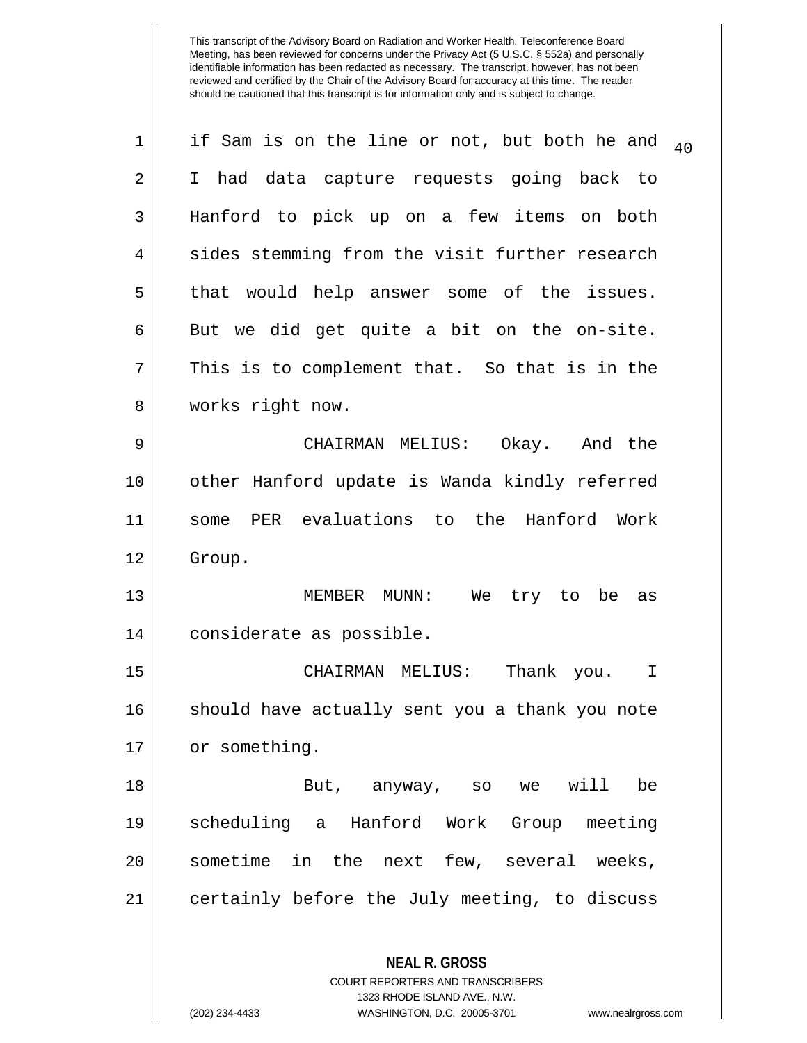| $\mathbf 1$ | if Sam is on the line or not, but both he and            | 40 |  |  |  |  |  |  |
|-------------|----------------------------------------------------------|----|--|--|--|--|--|--|
| 2           | I had data capture requests going back to                |    |  |  |  |  |  |  |
| 3           | Hanford to pick up on a few items on both                |    |  |  |  |  |  |  |
| 4           | sides stemming from the visit further research           |    |  |  |  |  |  |  |
| 5           | that would help answer some of the issues.               |    |  |  |  |  |  |  |
| 6           | But we did get quite a bit on the on-site.               |    |  |  |  |  |  |  |
| 7           | This is to complement that. So that is in the            |    |  |  |  |  |  |  |
| 8           | works right now.                                         |    |  |  |  |  |  |  |
| 9           | CHAIRMAN MELIUS: Okay. And the                           |    |  |  |  |  |  |  |
| 10          | other Hanford update is Wanda kindly referred            |    |  |  |  |  |  |  |
| 11          | some PER evaluations to the Hanford Work                 |    |  |  |  |  |  |  |
| 12          | Group.                                                   |    |  |  |  |  |  |  |
| 13          | MEMBER MUNN: We try to be as                             |    |  |  |  |  |  |  |
| 14          | considerate as possible.                                 |    |  |  |  |  |  |  |
| 15          | CHAIRMAN MELIUS: Thank you.<br>I                         |    |  |  |  |  |  |  |
| 16          | should have actually sent you a thank you note           |    |  |  |  |  |  |  |
| 17          | or something.                                            |    |  |  |  |  |  |  |
| 18          | But, anyway, so we will be                               |    |  |  |  |  |  |  |
| 19          | scheduling a Hanford Work Group meeting                  |    |  |  |  |  |  |  |
| 20          | sometime in the next few, several weeks,                 |    |  |  |  |  |  |  |
| 21          | certainly before the July meeting, to discuss            |    |  |  |  |  |  |  |
|             | <b>NEAL R. GROSS</b><br>COURT REPORTERS AND TRANSCRIBERS |    |  |  |  |  |  |  |

1323 RHODE ISLAND AVE., N.W.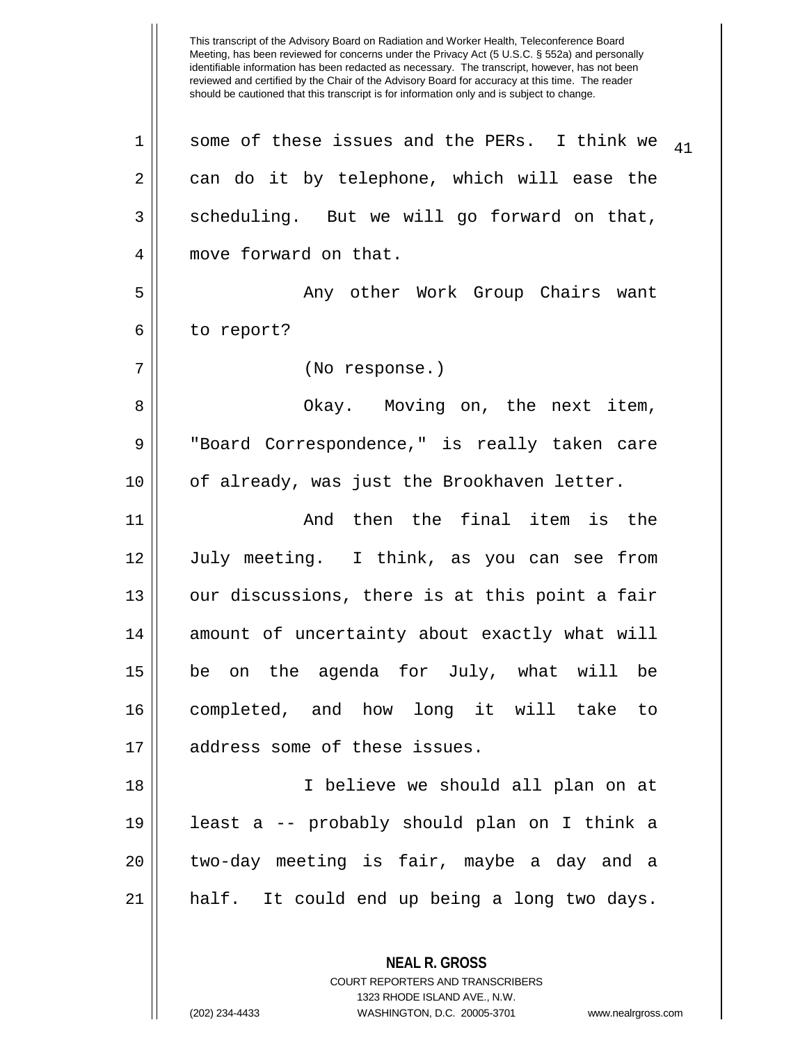Meeting, has been reviewed for concerns under the Privacy Act (5 U.S.C. § 552a) and personally identifiable information has been redacted as necessary. The transcript, however, has not been reviewed and certified by the Chair of the Advisory Board for accuracy at this time. The reader should be cautioned that this transcript is for information only and is subject to change. **NEAL R. GROSS** COURT REPORTERS AND TRANSCRIBERS 1 || some of these issues and the PERs. I think we  $_{41}$  $2 \parallel$  can do it by telephone, which will ease the  $3 \parallel$  scheduling. But we will go forward on that, 4 move forward on that. 5 Any other Work Group Chairs want 6 | to report? 7 (No response.) 8 Okay. Moving on, the next item, 9 || "Board Correspondence," is really taken care 10 || of already, was just the Brookhaven letter. 11 || The Rand then the final item is the 12 July meeting. I think, as you can see from  $13$  || our discussions, there is at this point a fair 14 || amount of uncertainty about exactly what will 15 be on the agenda for July, what will be 16 completed, and how long it will take to 17 address some of these issues. 18 I believe we should all plan on at 19 least a -- probably should plan on I think a  $20$  || two-day meeting is fair, maybe a day and a 21 half. It could end up being a long two days.

1323 RHODE ISLAND AVE., N.W.

This transcript of the Advisory Board on Radiation and Worker Health, Teleconference Board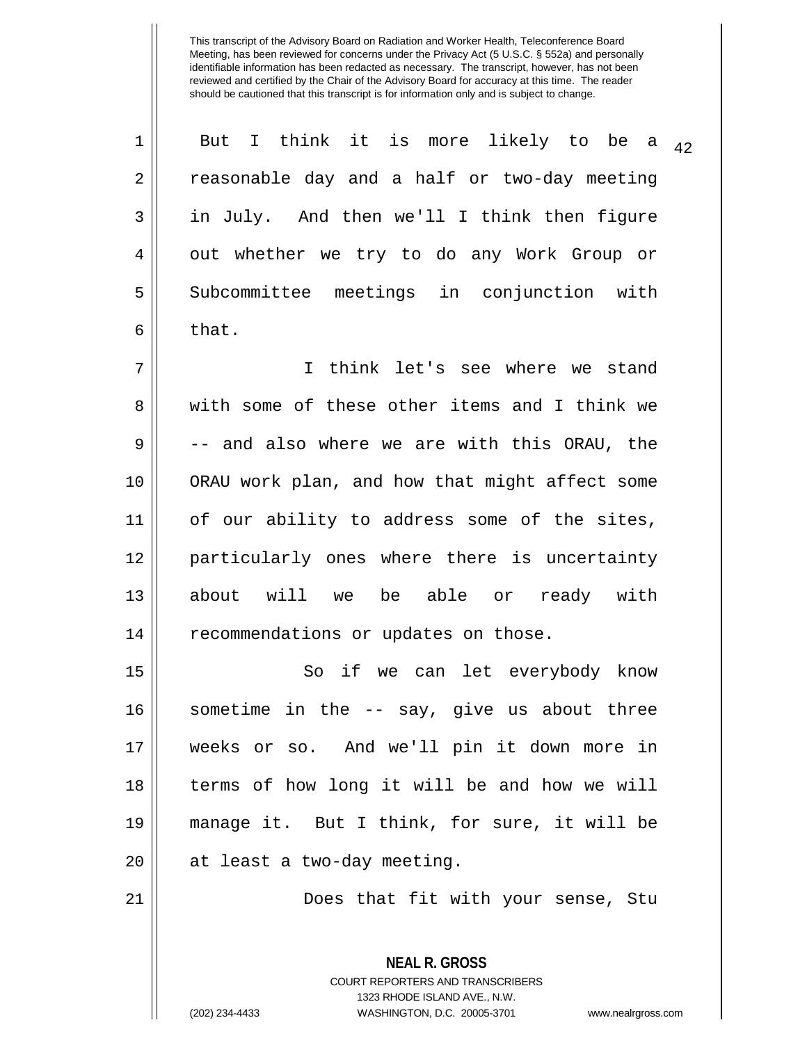| $\mathbf 1$    | But I think it is more likely to be a<br>42    |  |  |  |  |  |  |  |
|----------------|------------------------------------------------|--|--|--|--|--|--|--|
| $\overline{2}$ | reasonable day and a half or two-day meeting   |  |  |  |  |  |  |  |
| 3              | in July. And then we'll I think then figure    |  |  |  |  |  |  |  |
| 4              | out whether we try to do any Work Group or     |  |  |  |  |  |  |  |
| 5              | Subcommittee meetings in conjunction with      |  |  |  |  |  |  |  |
| 6              | that.                                          |  |  |  |  |  |  |  |
| 7              | think let's see where we stand<br>$\mathbf{I}$ |  |  |  |  |  |  |  |
| 8              | with some of these other items and I think we  |  |  |  |  |  |  |  |
| 9              | -- and also where we are with this ORAU, the   |  |  |  |  |  |  |  |
| 10             | ORAU work plan, and how that might affect some |  |  |  |  |  |  |  |
| 11             | of our ability to address some of the sites,   |  |  |  |  |  |  |  |
| 12             | particularly ones where there is uncertainty   |  |  |  |  |  |  |  |
| 13             | about will we be able or ready with            |  |  |  |  |  |  |  |
| 14             | recommendations or updates on those.           |  |  |  |  |  |  |  |
| 15             | So if we can let everybody know                |  |  |  |  |  |  |  |
| 16             | sometime in the -- say, give us about three    |  |  |  |  |  |  |  |
| 17             | weeks or so. And we'll pin it down more in     |  |  |  |  |  |  |  |
| 18             | terms of how long it will be and how we will   |  |  |  |  |  |  |  |
| 19             | manage it. But I think, for sure, it will be   |  |  |  |  |  |  |  |
| 20             | at least a two-day meeting.                    |  |  |  |  |  |  |  |
| 21             | Does that fit with your sense, Stu             |  |  |  |  |  |  |  |
|                |                                                |  |  |  |  |  |  |  |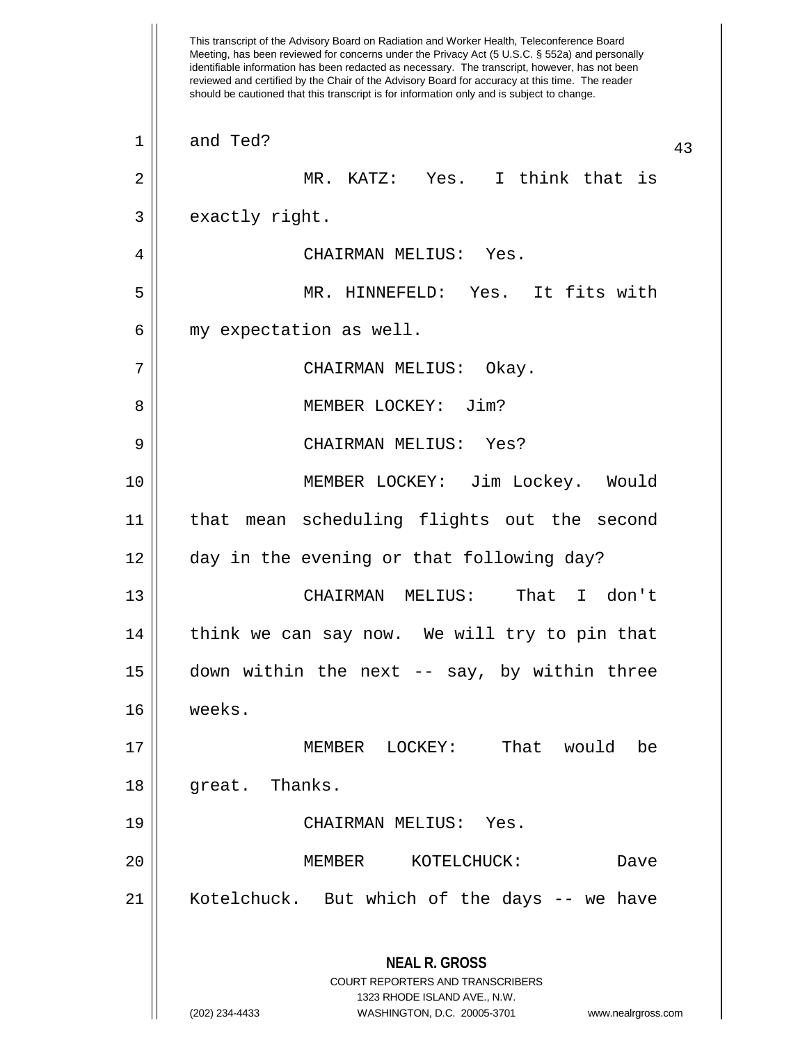This transcript of the Advisory Board on Radiation and Worker Health, Teleconference Board Meeting, has been reviewed for concerns under the Privacy Act (5 U.S.C. § 552a) and personally identifiable information has been redacted as necessary. The transcript, however, has not been reviewed and certified by the Chair of the Advisory Board for accuracy at this time. The reader should be cautioned that this transcript is for information only and is subject to change. **NEAL R. GROSS** COURT REPORTERS AND TRANSCRIBERS 1323 RHODE ISLAND AVE., N.W. (202) 234-4433 WASHINGTON, D.C. 20005-3701 www.nealrgross.com <sup>43</sup> <sup>1</sup> and Ted? 2 MR. KATZ: Yes. I think that is  $3 \parallel$  exactly right. 4 CHAIRMAN MELIUS: Yes. 5 MR. HINNEFELD: Yes. It fits with 6 || my expectation as well. 7 CHAIRMAN MELIUS: Okay. 8 MEMBER LOCKEY: Jim? 9 CHAIRMAN MELIUS: Yes? 10 MEMBER LOCKEY: Jim Lockey. Would 11 that mean scheduling flights out the second 12 || day in the evening or that following day? 13 CHAIRMAN MELIUS: That I don't 14 || think we can say now. We will try to pin that 15 down within the next -- say, by within three 16 weeks. 17 MEMBER LOCKEY: That would be 18 || great. Thanks. 19 CHAIRMAN MELIUS: Yes. 20 MEMBER KOTELCHUCK: Dave 21 Kotelchuck. But which of the days -- we have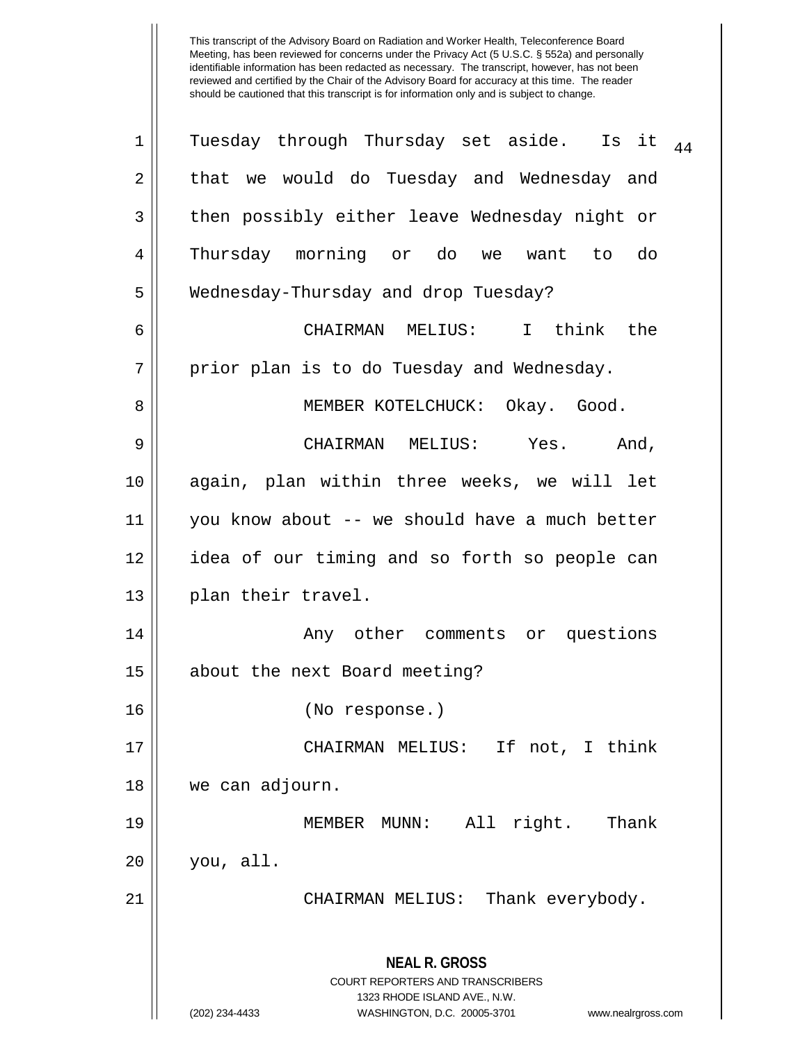| 1  | Tuesday through Thursday set aside. Is it<br>44                                                                                                                        |  |  |  |  |  |  |  |
|----|------------------------------------------------------------------------------------------------------------------------------------------------------------------------|--|--|--|--|--|--|--|
| 2  | that we would do Tuesday and Wednesday and                                                                                                                             |  |  |  |  |  |  |  |
| 3  | then possibly either leave Wednesday night or                                                                                                                          |  |  |  |  |  |  |  |
| 4  | Thursday morning or do we want to<br>do                                                                                                                                |  |  |  |  |  |  |  |
| 5  | Wednesday-Thursday and drop Tuesday?                                                                                                                                   |  |  |  |  |  |  |  |
| 6  | CHAIRMAN MELIUS: I think the                                                                                                                                           |  |  |  |  |  |  |  |
| 7  | prior plan is to do Tuesday and Wednesday.                                                                                                                             |  |  |  |  |  |  |  |
| 8  | MEMBER KOTELCHUCK: Okay. Good.                                                                                                                                         |  |  |  |  |  |  |  |
| 9  | CHAIRMAN MELIUS:<br>Yes.<br>And,                                                                                                                                       |  |  |  |  |  |  |  |
| 10 | again, plan within three weeks, we will let                                                                                                                            |  |  |  |  |  |  |  |
| 11 | you know about -- we should have a much better                                                                                                                         |  |  |  |  |  |  |  |
| 12 | idea of our timing and so forth so people can                                                                                                                          |  |  |  |  |  |  |  |
| 13 | plan their travel.                                                                                                                                                     |  |  |  |  |  |  |  |
| 14 | Any other comments or questions                                                                                                                                        |  |  |  |  |  |  |  |
| 15 | about the next Board meeting?                                                                                                                                          |  |  |  |  |  |  |  |
| 16 | (No response.)                                                                                                                                                         |  |  |  |  |  |  |  |
| 17 | CHAIRMAN MELIUS: If not, I think                                                                                                                                       |  |  |  |  |  |  |  |
| 18 | we can adjourn.                                                                                                                                                        |  |  |  |  |  |  |  |
| 19 | All right.<br>Thank<br>MEMBER MUNN:                                                                                                                                    |  |  |  |  |  |  |  |
| 20 | you, all.                                                                                                                                                              |  |  |  |  |  |  |  |
| 21 | CHAIRMAN MELIUS: Thank everybody.                                                                                                                                      |  |  |  |  |  |  |  |
|    | <b>NEAL R. GROSS</b><br><b>COURT REPORTERS AND TRANSCRIBERS</b><br>1323 RHODE ISLAND AVE., N.W.<br>WASHINGTON, D.C. 20005-3701<br>(202) 234-4433<br>www.nealrgross.com |  |  |  |  |  |  |  |